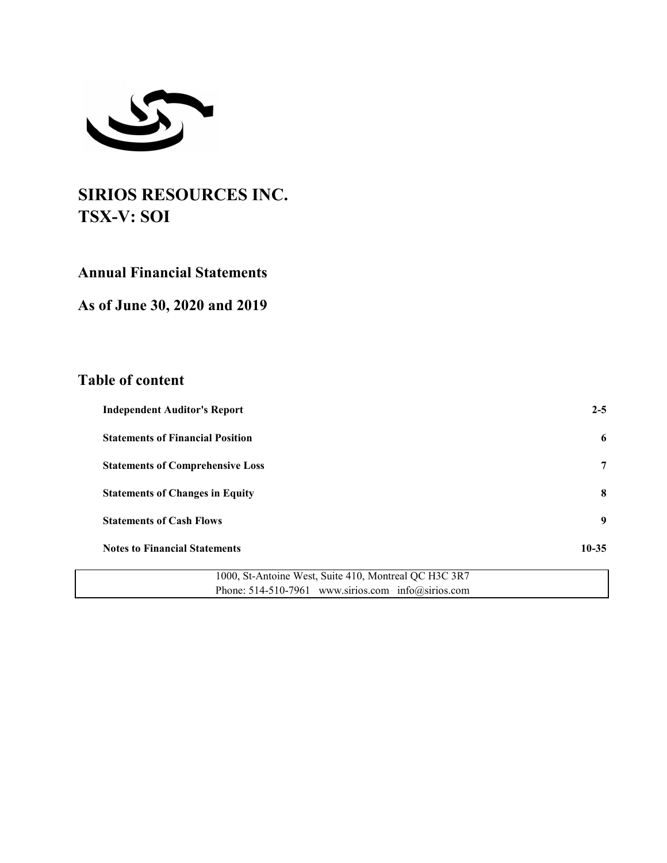

# **SIRIOS RESOURCES INC. TSX-V: SOI**

## **Annual Financial Statements**

# **As of June 30, 2020 and 2019**

# **Table of content**

| <b>Independent Auditor's Report</b>                   | $2 - 5$   |
|-------------------------------------------------------|-----------|
| <b>Statements of Financial Position</b>               | 6         |
| <b>Statements of Comprehensive Loss</b>               | 7         |
| <b>Statements of Changes in Equity</b>                | 8         |
| <b>Statements of Cash Flows</b>                       | 9         |
| <b>Notes to Financial Statements</b>                  | $10 - 35$ |
| 1000, St-Antoine West, Suite 410, Montreal QC H3C 3R7 |           |
| Phone: $514-510-7961$ www.sirios.com info@sirios.com  |           |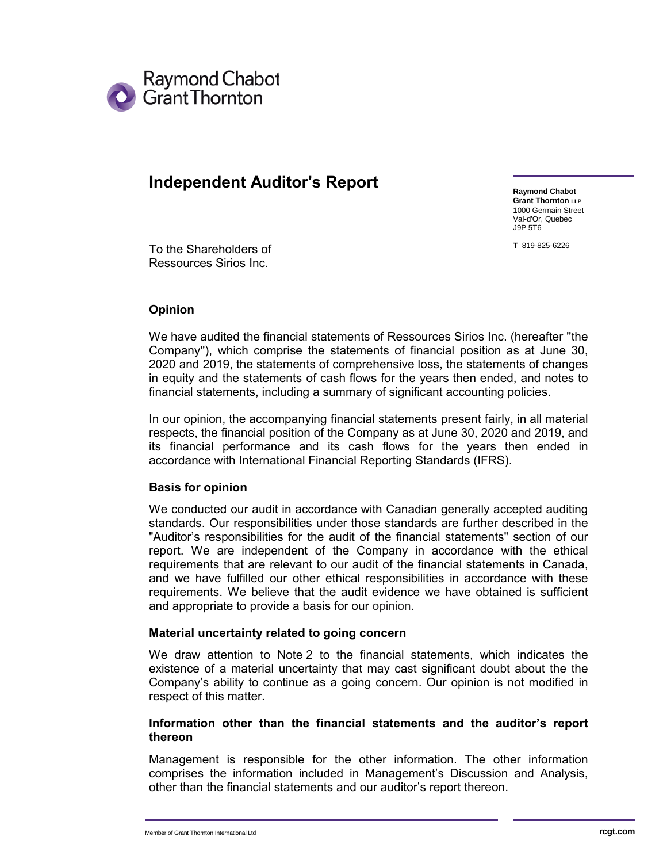

## **Independent Auditor's Report**

**Raymond Chabot Grant Thornton LLP** 1000 Germain Street Val-d'Or, Quebec J9P 5T6

**T** 819-825-6226

To the Shareholders of Ressources Sirios Inc.

## **Opinion**

We have audited the financial statements of Ressources Sirios Inc. (hereafter ''the Company''), which comprise the statements of financial position as at June 30, 2020 and 2019, the statements of comprehensive loss, the statements of changes in equity and the statements of cash flows for the years then ended, and notes to financial statements, including a summary of significant accounting policies.

In our opinion, the accompanying financial statements present fairly, in all material respects, the financial position of the Company as at June 30, 2020 and 2019, and its financial performance and its cash flows for the years then ended in accordance with International Financial Reporting Standards (IFRS).

## **Basis for opinion**

We conducted our audit in accordance with Canadian generally accepted auditing standards. Our responsibilities under those standards are further described in the "Auditor's responsibilities for the audit of the financial statements" section of our report. We are independent of the Company in accordance with the ethical requirements that are relevant to our audit of the financial statements in Canada, and we have fulfilled our other ethical responsibilities in accordance with these requirements. We believe that the audit evidence we have obtained is sufficient and appropriate to provide a basis for our opinion.

## **Material uncertainty related to going concern**

We draw attention to Note 2 to the financial statements, which indicates the existence of a material uncertainty that may cast significant doubt about the the Company's ability to continue as a going concern. Our opinion is not modified in respect of this matter.

## **Information other than the financial statements and the auditor's report thereon**

Management is responsible for the other information. The other information comprises the information included in Management's Discussion and Analysis, other than the financial statements and our auditor's report thereon.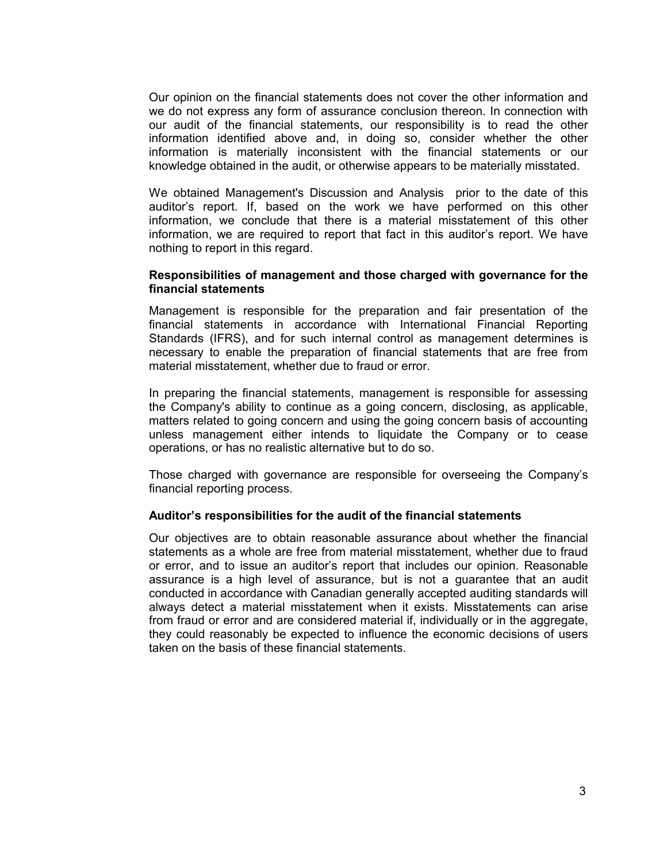Our opinion on the financial statements does not cover the other information and we do not express any form of assurance conclusion thereon. In connection with our audit of the financial statements, our responsibility is to read the other information identified above and, in doing so, consider whether the other information is materially inconsistent with the financial statements or our knowledge obtained in the audit, or otherwise appears to be materially misstated.

We obtained Management's Discussion and Analysis prior to the date of this auditor's report. If, based on the work we have performed on this other information, we conclude that there is a material misstatement of this other information, we are required to report that fact in this auditor's report. We have nothing to report in this regard.

## **Responsibilities of management and those charged with governance for the financial statements**

Management is responsible for the preparation and fair presentation of the financial statements in accordance with International Financial Reporting Standards (IFRS), and for such internal control as management determines is necessary to enable the preparation of financial statements that are free from material misstatement, whether due to fraud or error.

In preparing the financial statements, management is responsible for assessing the Company's ability to continue as a going concern, disclosing, as applicable, matters related to going concern and using the going concern basis of accounting unless management either intends to liquidate the Company or to cease operations, or has no realistic alternative but to do so.

Those charged with governance are responsible for overseeing the Company's financial reporting process.

## **Auditor's responsibilities for the audit of the financial statements**

Our objectives are to obtain reasonable assurance about whether the financial statements as a whole are free from material misstatement, whether due to fraud or error, and to issue an auditor's report that includes our opinion. Reasonable assurance is a high level of assurance, but is not a guarantee that an audit conducted in accordance with Canadian generally accepted auditing standards will always detect a material misstatement when it exists. Misstatements can arise from fraud or error and are considered material if, individually or in the aggregate, they could reasonably be expected to influence the economic decisions of users taken on the basis of these financial statements.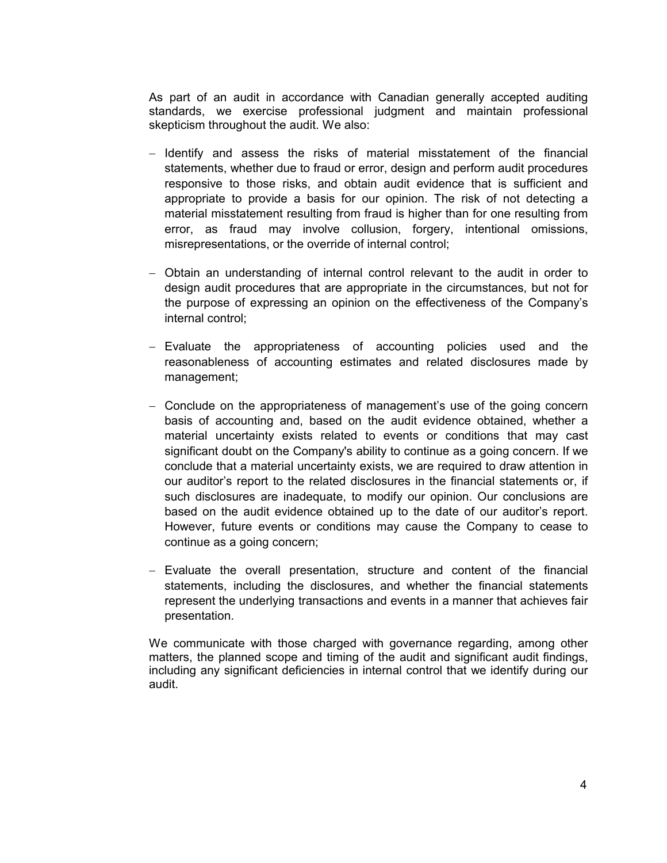As part of an audit in accordance with Canadian generally accepted auditing standards, we exercise professional judgment and maintain professional skepticism throughout the audit. We also:

- Identify and assess the risks of material misstatement of the financial statements, whether due to fraud or error, design and perform audit procedures responsive to those risks, and obtain audit evidence that is sufficient and appropriate to provide a basis for our opinion. The risk of not detecting a material misstatement resulting from fraud is higher than for one resulting from error, as fraud may involve collusion, forgery, intentional omissions, misrepresentations, or the override of internal control;
- Obtain an understanding of internal control relevant to the audit in order to design audit procedures that are appropriate in the circumstances, but not for the purpose of expressing an opinion on the effectiveness of the Company's internal control;
- Evaluate the appropriateness of accounting policies used and the reasonableness of accounting estimates and related disclosures made by management;
- Conclude on the appropriateness of management's use of the going concern basis of accounting and, based on the audit evidence obtained, whether a material uncertainty exists related to events or conditions that may cast significant doubt on the Company's ability to continue as a going concern. If we conclude that a material uncertainty exists, we are required to draw attention in our auditor's report to the related disclosures in the financial statements or, if such disclosures are inadequate, to modify our opinion. Our conclusions are based on the audit evidence obtained up to the date of our auditor's report. However, future events or conditions may cause the Company to cease to continue as a going concern;
- Evaluate the overall presentation, structure and content of the financial statements, including the disclosures, and whether the financial statements represent the underlying transactions and events in a manner that achieves fair presentation.

We communicate with those charged with governance regarding, among other matters, the planned scope and timing of the audit and significant audit findings, including any significant deficiencies in internal control that we identify during our audit.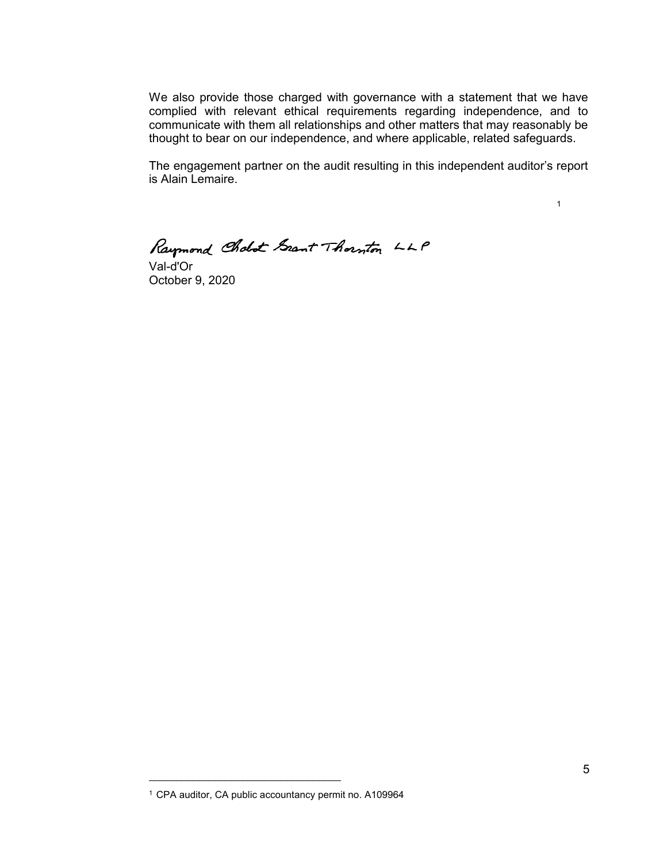We also provide those charged with governance with a statement that we have complied with relevant ethical requirements regarding independence, and to communicate with them all relationships and other matters that may reasonably be thought to bear on our independence, and where applicable, related safeguards.

The engagement partner on the audit resulting in this independent auditor's report is Alain Lemaire.

1

Raymond Cholot Grant Thornton LLP

Val-d'Or October 9, 2020

\_\_\_\_\_\_\_\_\_\_\_\_\_\_\_\_\_\_\_\_\_\_\_\_\_\_\_\_\_\_\_\_\_\_\_

<sup>1</sup> CPA auditor, CA public accountancy permit no. A109964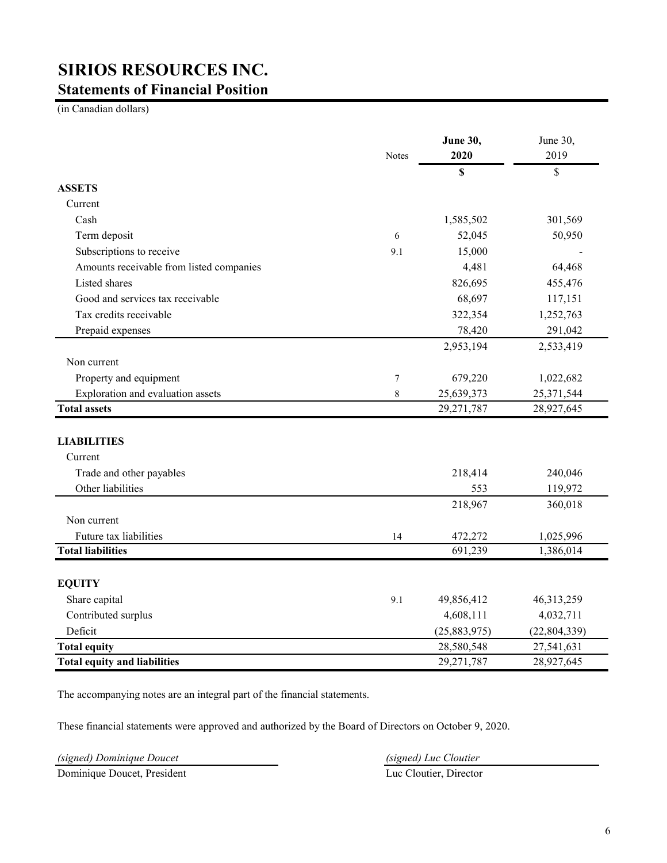# **SIRIOS RESOURCES INC. Statements of Financial Position**

(in Canadian dollars)

|                                          | <b>Notes</b> | <b>June 30,</b><br>2020 | June 30,<br>2019 |
|------------------------------------------|--------------|-------------------------|------------------|
|                                          |              | \$                      | \$               |
| <b>ASSETS</b>                            |              |                         |                  |
| Current                                  |              |                         |                  |
| Cash                                     |              | 1,585,502               | 301,569          |
| Term deposit                             | 6            | 52,045                  | 50,950           |
| Subscriptions to receive                 | 9.1          | 15,000                  |                  |
| Amounts receivable from listed companies |              | 4,481                   | 64,468           |
| Listed shares                            |              | 826,695                 | 455,476          |
| Good and services tax receivable         |              | 68,697                  | 117,151          |
| Tax credits receivable                   |              | 322,354                 | 1,252,763        |
| Prepaid expenses                         |              | 78,420                  | 291,042          |
|                                          |              | 2,953,194               | 2,533,419        |
| Non current                              |              |                         |                  |
| Property and equipment                   | 7            | 679,220                 | 1,022,682        |
| Exploration and evaluation assets        | 8            | 25,639,373              | 25,371,544       |
| <b>Total assets</b>                      |              | 29,271,787              | 28,927,645       |
|                                          |              |                         |                  |
| <b>LIABILITIES</b>                       |              |                         |                  |
| Current                                  |              |                         |                  |
| Trade and other payables                 |              | 218,414                 | 240,046          |
| Other liabilities                        |              | 553                     | 119,972          |
|                                          |              | 218,967                 | 360,018          |
| Non current                              |              |                         |                  |
| Future tax liabilities                   | 14           | 472,272                 | 1,025,996        |
| <b>Total liabilities</b>                 |              | 691,239                 | 1,386,014        |
|                                          |              |                         |                  |
| <b>EQUITY</b>                            |              |                         |                  |
| Share capital                            | 9.1          | 49,856,412              | 46,313,259       |
| Contributed surplus                      |              | 4,608,111               | 4,032,711        |
| Deficit                                  |              | (25,883,975)            | (22, 804, 339)   |
| <b>Total equity</b>                      |              | 28,580,548              | 27,541,631       |
| <b>Total equity and liabilities</b>      |              | 29,271,787              | 28,927,645       |

The accompanying notes are an integral part of the financial statements.

These financial statements were approved and authorized by the Board of Directors on October 9, 2020.

*(signed) Dominique Doucet (signed) Luc Cloutier*

Dominique Doucet, President Luc Cloutier, Director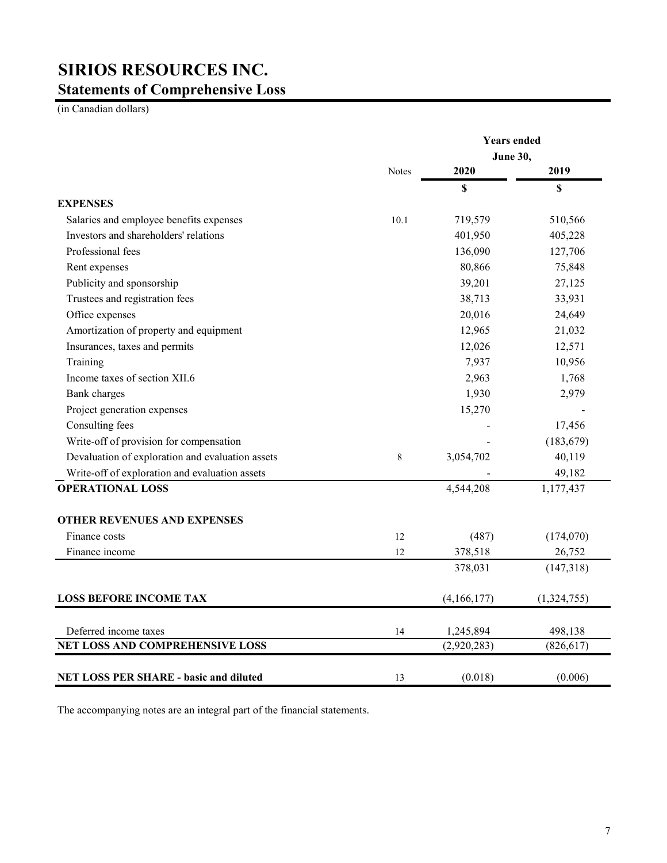# **SIRIOS RESOURCES INC. Statements of Comprehensive Loss**

(in Canadian dollars)

|                                                  |         | <b>Years ended</b> |             |
|--------------------------------------------------|---------|--------------------|-------------|
|                                                  |         | <b>June 30,</b>    |             |
|                                                  | Notes   | 2020               | 2019        |
|                                                  |         | \$                 | $\mathbf S$ |
| <b>EXPENSES</b>                                  |         |                    |             |
| Salaries and employee benefits expenses          | 10.1    | 719,579            | 510,566     |
| Investors and shareholders' relations            |         | 401,950            | 405,228     |
| Professional fees                                |         | 136,090            | 127,706     |
| Rent expenses                                    |         | 80,866             | 75,848      |
| Publicity and sponsorship                        |         | 39,201             | 27,125      |
| Trustees and registration fees                   |         | 38,713             | 33,931      |
| Office expenses                                  |         | 20,016             | 24,649      |
| Amortization of property and equipment           |         | 12,965             | 21,032      |
| Insurances, taxes and permits                    |         | 12,026             | 12,571      |
| Training                                         |         | 7,937              | 10,956      |
| Income taxes of section XII.6                    |         | 2,963              | 1,768       |
| Bank charges                                     |         | 1,930              | 2,979       |
| Project generation expenses                      |         | 15,270             |             |
| Consulting fees                                  |         |                    | 17,456      |
| Write-off of provision for compensation          |         |                    | (183, 679)  |
| Devaluation of exploration and evaluation assets | $\,8\,$ | 3,054,702          | 40,119      |
| Write-off of exploration and evaluation assets   |         |                    | 49,182      |
| <b>OPERATIONAL LOSS</b>                          |         | 4,544,208          | 1,177,437   |
| <b>OTHER REVENUES AND EXPENSES</b>               |         |                    |             |
| Finance costs                                    | 12      | (487)              | (174,070)   |
| Finance income                                   | 12      | 378,518            | 26,752      |
|                                                  |         | 378,031            | (147,318)   |
| <b>LOSS BEFORE INCOME TAX</b>                    |         | (4,166,177)        | (1,324,755) |
| Deferred income taxes                            | 14      | 1,245,894          | 498,138     |
| NET LOSS AND COMPREHENSIVE LOSS                  |         | (2,920,283)        | (826, 617)  |
|                                                  |         |                    |             |
| <b>NET LOSS PER SHARE - basic and diluted</b>    | 13      | (0.018)            | (0.006)     |

The accompanying notes are an integral part of the financial statements.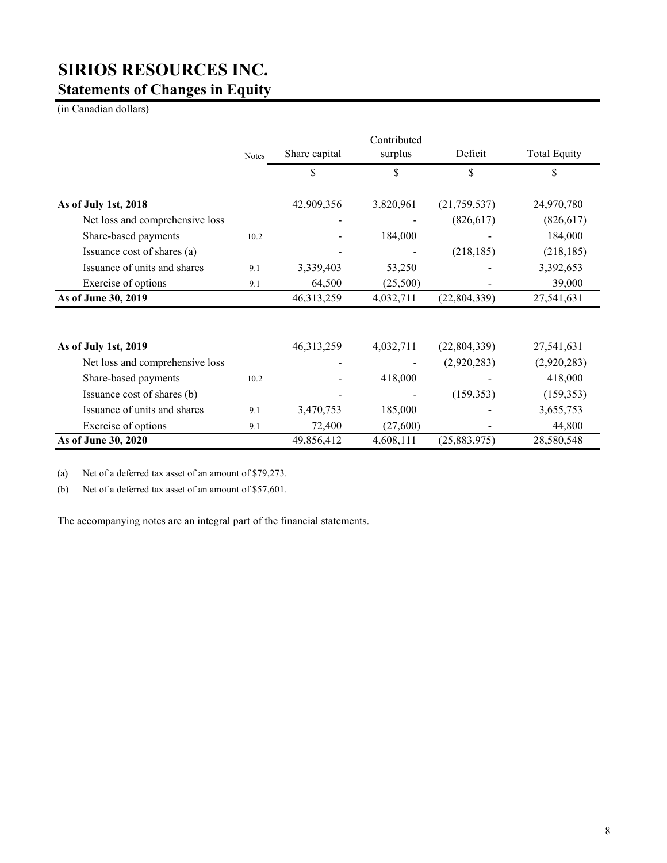# **SIRIOS RESOURCES INC. Statements of Changes in Equity**

(in Canadian dollars)

|                                 |              |               | Contributed |              |                     |
|---------------------------------|--------------|---------------|-------------|--------------|---------------------|
|                                 | <b>Notes</b> | Share capital | surplus     | Deficit      | <b>Total Equity</b> |
|                                 |              | S             | \$          | \$           | \$                  |
| As of July 1st, 2018            |              | 42,909,356    | 3,820,961   | (21,759,537) | 24,970,780          |
| Net loss and comprehensive loss |              |               |             | (826, 617)   | (826, 617)          |
| Share-based payments            | 10.2         |               | 184,000     |              | 184,000             |
| Issuance cost of shares (a)     |              |               |             | (218, 185)   | (218, 185)          |
| Issuance of units and shares    | 9.1          | 3,339,403     | 53,250      |              | 3,392,653           |
| Exercise of options             | 9.1          | 64,500        | (25,500)    |              | 39,000              |
| As of June 30, 2019             |              | 46,313,259    | 4,032,711   | (22,804,339) | 27,541,631          |
|                                 |              |               |             |              |                     |
| As of July 1st, 2019            |              | 46,313,259    | 4,032,711   | (22,804,339) | 27,541,631          |
| Net loss and comprehensive loss |              |               |             | (2,920,283)  | (2,920,283)         |
| Share-based payments            | 10.2         |               | 418,000     |              | 418,000             |
| Issuance cost of shares (b)     |              |               |             | (159, 353)   | (159, 353)          |
| Issuance of units and shares    | 9.1          | 3,470,753     | 185,000     |              | 3,655,753           |
| Exercise of options             | 9.1          | 72,400        | (27,600)    |              | 44,800              |
| As of June 30, 2020             |              | 49,856,412    | 4,608,111   | (25,883,975) | 28,580,548          |

(a) Net of a deferred tax asset of an amount of \$79,273.

(b) Net of a deferred tax asset of an amount of \$57,601.

The accompanying notes are an integral part of the financial statements.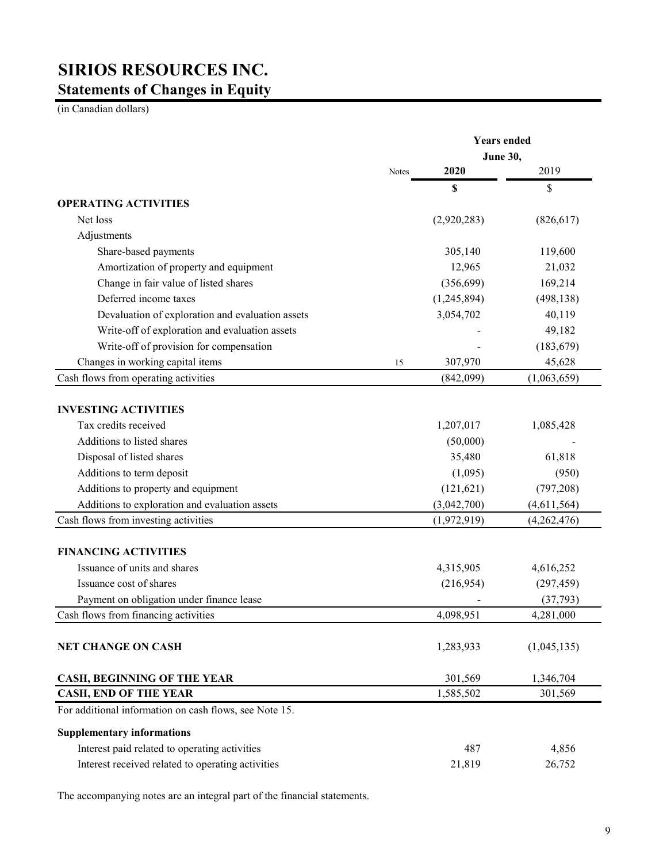# **SIRIOS RESOURCES INC. Statements of Changes in Equity**

(in Canadian dollars)

|                                                        |              | <b>Years</b> ended |             |  |  |
|--------------------------------------------------------|--------------|--------------------|-------------|--|--|
|                                                        |              | <b>June 30,</b>    |             |  |  |
|                                                        | <b>Notes</b> | 2020               | 2019        |  |  |
|                                                        |              | \$                 | \$          |  |  |
| <b>OPERATING ACTIVITIES</b>                            |              |                    |             |  |  |
| Net loss                                               |              | (2,920,283)        | (826, 617)  |  |  |
| Adjustments                                            |              |                    |             |  |  |
| Share-based payments                                   |              | 305,140            | 119,600     |  |  |
| Amortization of property and equipment                 |              | 12,965             | 21,032      |  |  |
| Change in fair value of listed shares                  |              | (356, 699)         | 169,214     |  |  |
| Deferred income taxes                                  |              | (1,245,894)        | (498, 138)  |  |  |
| Devaluation of exploration and evaluation assets       |              | 3,054,702          | 40,119      |  |  |
| Write-off of exploration and evaluation assets         |              |                    | 49,182      |  |  |
| Write-off of provision for compensation                |              |                    | (183, 679)  |  |  |
| Changes in working capital items                       | 15           | 307,970            | 45,628      |  |  |
| Cash flows from operating activities                   |              | (842,099)          | (1,063,659) |  |  |
|                                                        |              |                    |             |  |  |
| <b>INVESTING ACTIVITIES</b>                            |              |                    |             |  |  |
| Tax credits received                                   |              | 1,207,017          | 1,085,428   |  |  |
| Additions to listed shares                             |              | (50,000)           |             |  |  |
| Disposal of listed shares                              |              | 35,480             | 61,818      |  |  |
| Additions to term deposit                              |              | (1,095)            | (950)       |  |  |
| Additions to property and equipment                    |              | (121, 621)         | (797, 208)  |  |  |
| Additions to exploration and evaluation assets         |              | (3,042,700)        | (4,611,564) |  |  |
| Cash flows from investing activities                   |              | (1,972,919)        | (4,262,476) |  |  |
| <b>FINANCING ACTIVITIES</b>                            |              |                    |             |  |  |
| Issuance of units and shares                           |              | 4,315,905          | 4,616,252   |  |  |
| Issuance cost of shares                                |              | (216,954)          | (297, 459)  |  |  |
| Payment on obligation under finance lease              |              |                    | (37, 793)   |  |  |
| Cash flows from financing activities                   |              | 4,098,951          | 4,281,000   |  |  |
| <b>NET CHANGE ON CASH</b>                              |              | 1,283,933          | (1,045,135) |  |  |
|                                                        |              |                    |             |  |  |
| CASH, BEGINNING OF THE YEAR                            |              | 301,569            | 1,346,704   |  |  |
| <b>CASH, END OF THE YEAR</b>                           |              | 1,585,502          | 301,569     |  |  |
| For additional information on cash flows, see Note 15. |              |                    |             |  |  |
| <b>Supplementary informations</b>                      |              |                    |             |  |  |
| Interest paid related to operating activities          |              | 487                | 4,856       |  |  |
| Interest received related to operating activities      |              | 21,819             | 26,752      |  |  |

The accompanying notes are an integral part of the financial statements.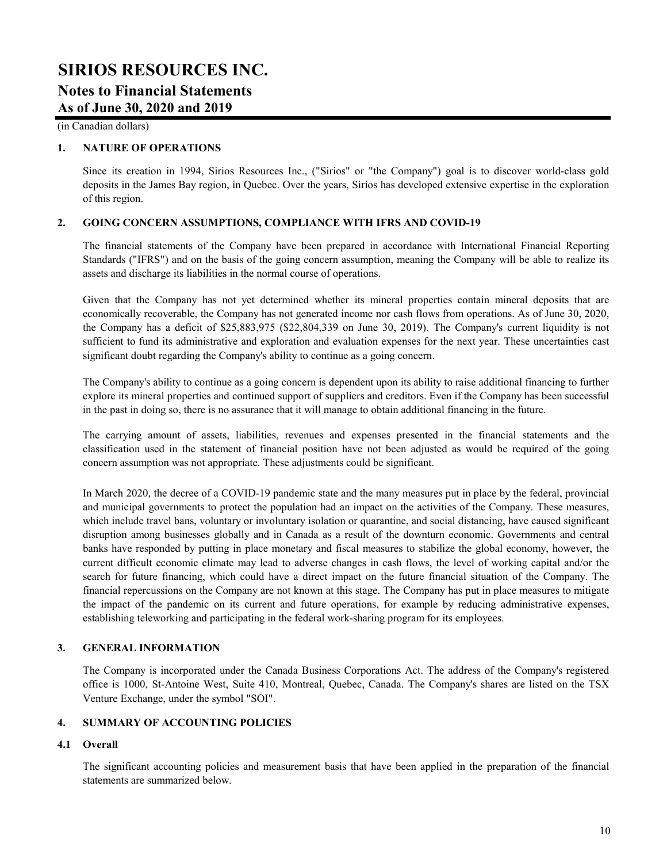(in Canadian dollars)

## **1. NATURE OF OPERATIONS**

Since its creation in 1994, Sirios Resources Inc., ("Sirios" or "the Company") goal is to discover world-class gold deposits in the James Bay region, in Quebec. Over the years, Sirios has developed extensive expertise in the exploration of this region.

## **2. GOING CONCERN ASSUMPTIONS, COMPLIANCE WITH IFRS AND COVID-19**

The financial statements of the Company have been prepared in accordance with International Financial Reporting Standards ("IFRS") and on the basis of the going concern assumption, meaning the Company will be able to realize its assets and discharge its liabilities in the normal course of operations.

Given that the Company has not yet determined whether its mineral properties contain mineral deposits that are economically recoverable, the Company has not generated income nor cash flows from operations. As of June 30, 2020, the Company has a deficit of \$25,883,975 (\$22,804,339 on June 30, 2019). The Company's current liquidity is not sufficient to fund its administrative and exploration and evaluation expenses for the next year. These uncertainties cast significant doubt regarding the Company's ability to continue as a going concern.

The Company's ability to continue as a going concern is dependent upon its ability to raise additional financing to further explore its mineral properties and continued support of suppliers and creditors. Even if the Company has been successful in the past in doing so, there is no assurance that it will manage to obtain additional financing in the future.

The carrying amount of assets, liabilities, revenues and expenses presented in the financial statements and the classification used in the statement of financial position have not been adjusted as would be required of the going concern assumption was not appropriate. These adjustments could be significant.

In March 2020, the decree of a COVID-19 pandemic state and the many measures put in place by the federal, provincial and municipal governments to protect the population had an impact on the activities of the Company. These measures, which include travel bans, voluntary or involuntary isolation or quarantine, and social distancing, have caused significant disruption among businesses globally and in Canada as a result of the downturn economic. Governments and central banks have responded by putting in place monetary and fiscal measures to stabilize the global economy, however, the current difficult economic climate may lead to adverse changes in cash flows, the level of working capital and/or the search for future financing, which could have a direct impact on the future financial situation of the Company. The financial repercussions on the Company are not known at this stage. The Company has put in place measures to mitigate the impact of the pandemic on its current and future operations, for example by reducing administrative expenses, establishing teleworking and participating in the federal work-sharing program for its employees.

## **3. GENERAL INFORMATION**

The Company is incorporated under the Canada Business Corporations Act. The address of the Company's registered office is 1000, St-Antoine West, Suite 410, Montreal, Quebec, Canada. The Company's shares are listed on the TSX Venture Exchange, under the symbol "SOI".

## **4. SUMMARY OF ACCOUNTING POLICIES**

## **4.1 Overall**

The significant accounting policies and measurement basis that have been applied in the preparation of the financial statements are summarized below.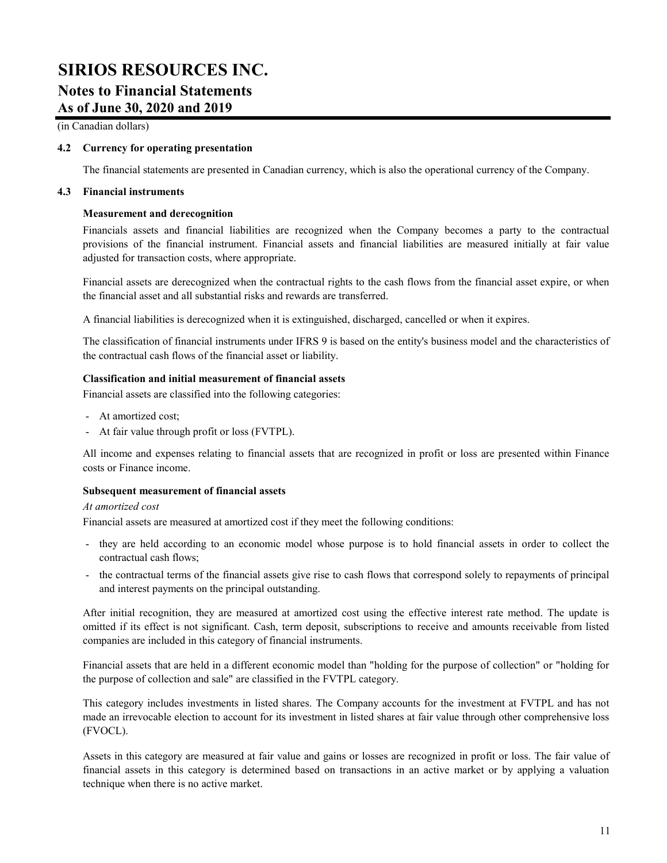(in Canadian dollars)

## **4.2 Currency for operating presentation**

The financial statements are presented in Canadian currency, which is also the operational currency of the Company.

## **4.3 Financial instruments**

## **Measurement and derecognition**

Financials assets and financial liabilities are recognized when the Company becomes a party to the contractual provisions of the financial instrument. Financial assets and financial liabilities are measured initially at fair value adjusted for transaction costs, where appropriate.

Financial assets are derecognized when the contractual rights to the cash flows from the financial asset expire, or when the financial asset and all substantial risks and rewards are transferred.

A financial liabilities is derecognized when it is extinguished, discharged, cancelled or when it expires.

The classification of financial instruments under IFRS 9 is based on the entity's business model and the characteristics of the contractual cash flows of the financial asset or liability.

## **Classification and initial measurement of financial assets**

Financial assets are classified into the following categories:

- At amortized cost;
- At fair value through profit or loss (FVTPL).

All income and expenses relating to financial assets that are recognized in profit or loss are presented within Finance costs or Finance income.

## **Subsequent measurement of financial assets**

## *At amortized cost*

Financial assets are measured at amortized cost if they meet the following conditions:

- they are held according to an economic model whose purpose is to hold financial assets in order to collect the contractual cash flows;
- the contractual terms of the financial assets give rise to cash flows that correspond solely to repayments of principal and interest payments on the principal outstanding.

After initial recognition, they are measured at amortized cost using the effective interest rate method. The update is omitted if its effect is not significant. Cash, term deposit, subscriptions to receive and amounts receivable from listed companies are included in this category of financial instruments.

Financial assets that are held in a different economic model than "holding for the purpose of collection" or "holding for the purpose of collection and sale" are classified in the FVTPL category.

This category includes investments in listed shares. The Company accounts for the investment at FVTPL and has not made an irrevocable election to account for its investment in listed shares at fair value through other comprehensive loss (FVOCL).

Assets in this category are measured at fair value and gains or losses are recognized in profit or loss. The fair value of financial assets in this category is determined based on transactions in an active market or by applying a valuation technique when there is no active market.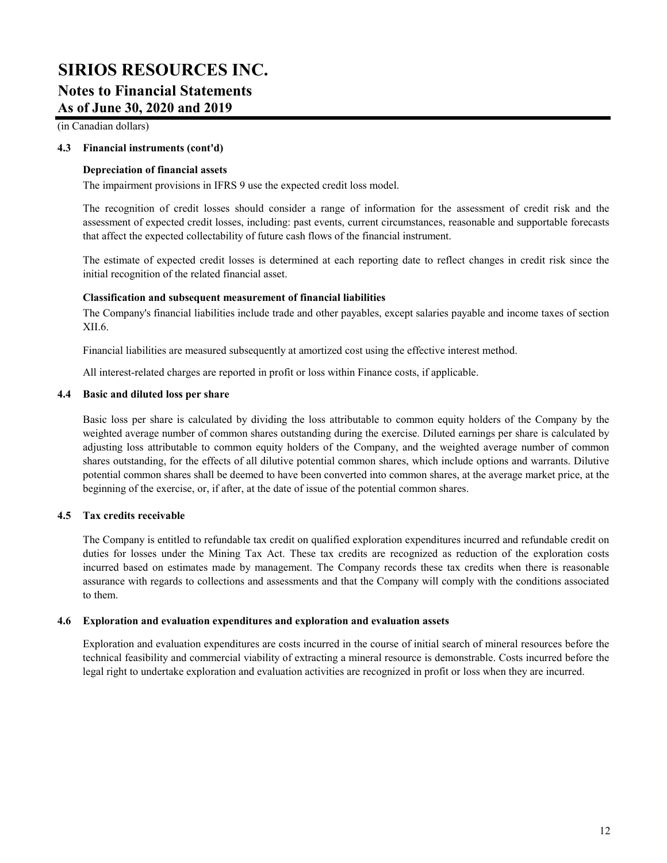(in Canadian dollars)

## **4.3 Financial instruments (cont'd)**

## **Depreciation of financial assets**

The impairment provisions in IFRS 9 use the expected credit loss model.

The recognition of credit losses should consider a range of information for the assessment of credit risk and the assessment of expected credit losses, including: past events, current circumstances, reasonable and supportable forecasts that affect the expected collectability of future cash flows of the financial instrument.

The estimate of expected credit losses is determined at each reporting date to reflect changes in credit risk since the initial recognition of the related financial asset.

## **Classification and subsequent measurement of financial liabilities**

The Company's financial liabilities include trade and other payables, except salaries payable and income taxes of section XII.6.

Financial liabilities are measured subsequently at amortized cost using the effective interest method.

All interest-related charges are reported in profit or loss within Finance costs, if applicable.

## **4.4 Basic and diluted loss per share**

Basic loss per share is calculated by dividing the loss attributable to common equity holders of the Company by the weighted average number of common shares outstanding during the exercise. Diluted earnings per share is calculated by adjusting loss attributable to common equity holders of the Company, and the weighted average number of common shares outstanding, for the effects of all dilutive potential common shares, which include options and warrants. Dilutive potential common shares shall be deemed to have been converted into common shares, at the average market price, at the beginning of the exercise, or, if after, at the date of issue of the potential common shares.

## **4.5 Tax credits receivable**

The Company is entitled to refundable tax credit on qualified exploration expenditures incurred and refundable credit on duties for losses under the Mining Tax Act. These tax credits are recognized as reduction of the exploration costs incurred based on estimates made by management. The Company records these tax credits when there is reasonable assurance with regards to collections and assessments and that the Company will comply with the conditions associated to them.

## **4.6 Exploration and evaluation expenditures and exploration and evaluation assets**

Exploration and evaluation expenditures are costs incurred in the course of initial search of mineral resources before the technical feasibility and commercial viability of extracting a mineral resource is demonstrable. Costs incurred before the legal right to undertake exploration and evaluation activities are recognized in profit or loss when they are incurred.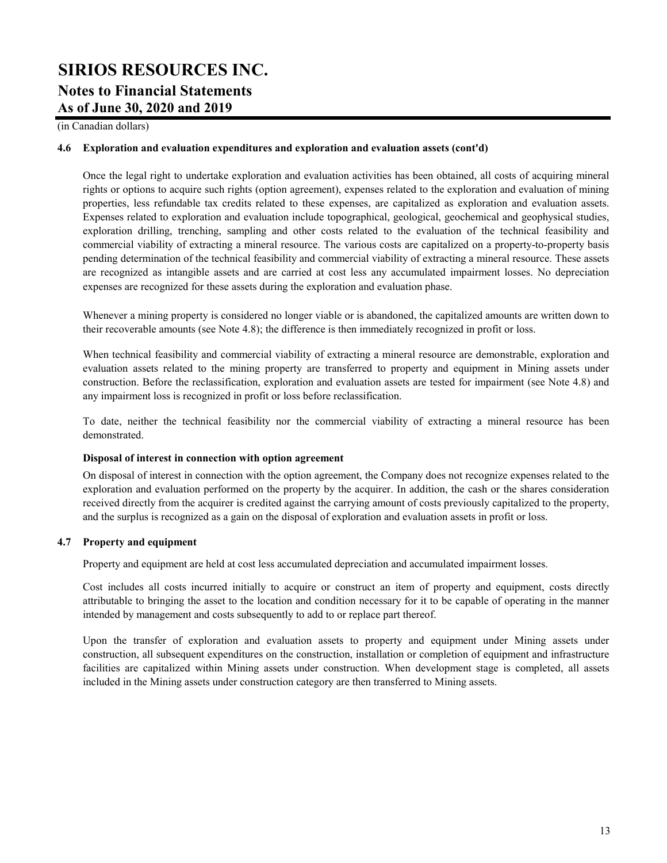(in Canadian dollars)

## **4.6 Exploration and evaluation expenditures and exploration and evaluation assets (cont'd)**

Once the legal right to undertake exploration and evaluation activities has been obtained, all costs of acquiring mineral rights or options to acquire such rights (option agreement), expenses related to the exploration and evaluation of mining properties, less refundable tax credits related to these expenses, are capitalized as exploration and evaluation assets. Expenses related to exploration and evaluation include topographical, geological, geochemical and geophysical studies, exploration drilling, trenching, sampling and other costs related to the evaluation of the technical feasibility and commercial viability of extracting a mineral resource. The various costs are capitalized on a property-to-property basis pending determination of the technical feasibility and commercial viability of extracting a mineral resource. These assets are recognized as intangible assets and are carried at cost less any accumulated impairment losses. No depreciation expenses are recognized for these assets during the exploration and evaluation phase.

Whenever a mining property is considered no longer viable or is abandoned, the capitalized amounts are written down to their recoverable amounts (see Note 4.8); the difference is then immediately recognized in profit or loss.

When technical feasibility and commercial viability of extracting a mineral resource are demonstrable, exploration and evaluation assets related to the mining property are transferred to property and equipment in Mining assets under construction. Before the reclassification, exploration and evaluation assets are tested for impairment (see Note 4.8) and any impairment loss is recognized in profit or loss before reclassification.

To date, neither the technical feasibility nor the commercial viability of extracting a mineral resource has been demonstrated.

## **Disposal of interest in connection with option agreement**

On disposal of interest in connection with the option agreement, the Company does not recognize expenses related to the exploration and evaluation performed on the property by the acquirer. In addition, the cash or the shares consideration received directly from the acquirer is credited against the carrying amount of costs previously capitalized to the property, and the surplus is recognized as a gain on the disposal of exploration and evaluation assets in profit or loss.

## **4.7 Property and equipment**

Property and equipment are held at cost less accumulated depreciation and accumulated impairment losses.

Cost includes all costs incurred initially to acquire or construct an item of property and equipment, costs directly attributable to bringing the asset to the location and condition necessary for it to be capable of operating in the manner intended by management and costs subsequently to add to or replace part thereof.

Upon the transfer of exploration and evaluation assets to property and equipment under Mining assets under construction, all subsequent expenditures on the construction, installation or completion of equipment and infrastructure facilities are capitalized within Mining assets under construction. When development stage is completed, all assets included in the Mining assets under construction category are then transferred to Mining assets.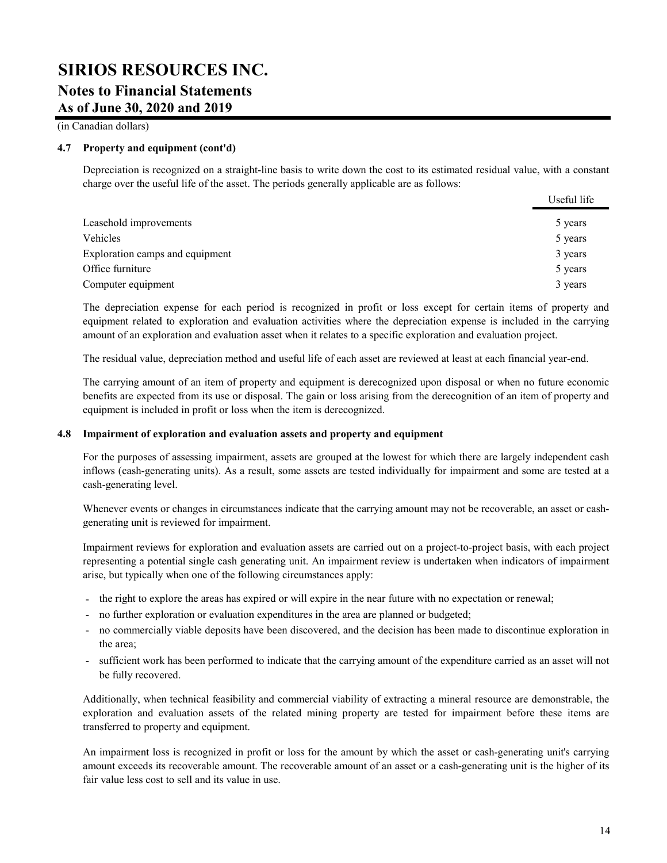(in Canadian dollars)

## **4.7 Property and equipment (cont'd)**

Depreciation is recognized on a straight-line basis to write down the cost to its estimated residual value, with a constant charge over the useful life of the asset. The periods generally applicable are as follows:

|                                 | Useful life |
|---------------------------------|-------------|
| Leasehold improvements          | 5 years     |
| Vehicles                        | 5 years     |
| Exploration camps and equipment | 3 years     |
| Office furniture                | 5 years     |
| Computer equipment              | 3 years     |

The depreciation expense for each period is recognized in profit or loss except for certain items of property and equipment related to exploration and evaluation activities where the depreciation expense is included in the carrying amount of an exploration and evaluation asset when it relates to a specific exploration and evaluation project.

The residual value, depreciation method and useful life of each asset are reviewed at least at each financial year-end.

The carrying amount of an item of property and equipment is derecognized upon disposal or when no future economic benefits are expected from its use or disposal. The gain or loss arising from the derecognition of an item of property and equipment is included in profit or loss when the item is derecognized.

## **4.8 Impairment of exploration and evaluation assets and property and equipment**

For the purposes of assessing impairment, assets are grouped at the lowest for which there are largely independent cash inflows (cash-generating units). As a result, some assets are tested individually for impairment and some are tested at a cash-generating level.

Whenever events or changes in circumstances indicate that the carrying amount may not be recoverable, an asset or cashgenerating unit is reviewed for impairment.

Impairment reviews for exploration and evaluation assets are carried out on a project-to-project basis, with each project representing a potential single cash generating unit. An impairment review is undertaken when indicators of impairment arise, but typically when one of the following circumstances apply:

- the right to explore the areas has expired or will expire in the near future with no expectation or renewal;
- no further exploration or evaluation expenditures in the area are planned or budgeted;
- no commercially viable deposits have been discovered, and the decision has been made to discontinue exploration in the area;
- sufficient work has been performed to indicate that the carrying amount of the expenditure carried as an asset will not be fully recovered.

Additionally, when technical feasibility and commercial viability of extracting a mineral resource are demonstrable, the exploration and evaluation assets of the related mining property are tested for impairment before these items are transferred to property and equipment.

An impairment loss is recognized in profit or loss for the amount by which the asset or cash-generating unit's carrying amount exceeds its recoverable amount. The recoverable amount of an asset or a cash-generating unit is the higher of its fair value less cost to sell and its value in use.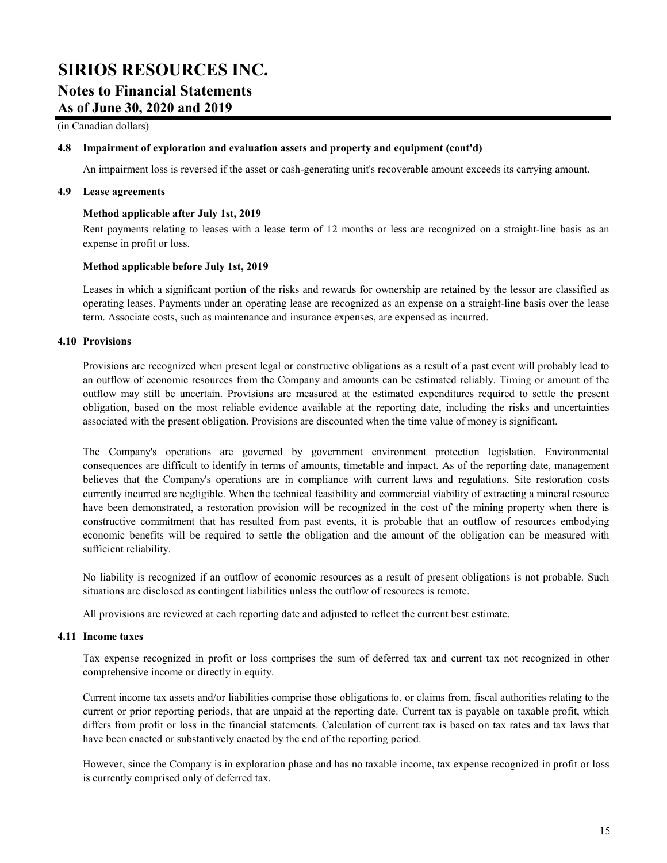## (in Canadian dollars)

#### **4.8 Impairment of exploration and evaluation assets and property and equipment (cont'd)**

An impairment loss is reversed if the asset or cash-generating unit's recoverable amount exceeds its carrying amount.

#### **4.9 Lease agreements**

#### **Method applicable after July 1st, 2019**

Rent payments relating to leases with a lease term of 12 months or less are recognized on a straight-line basis as an expense in profit or loss.

#### **Method applicable before July 1st, 2019**

Leases in which a significant portion of the risks and rewards for ownership are retained by the lessor are classified as operating leases. Payments under an operating lease are recognized as an expense on a straight-line basis over the lease term. Associate costs, such as maintenance and insurance expenses, are expensed as incurred.

#### **4.10 Provisions**

Provisions are recognized when present legal or constructive obligations as a result of a past event will probably lead to an outflow of economic resources from the Company and amounts can be estimated reliably. Timing or amount of the outflow may still be uncertain. Provisions are measured at the estimated expenditures required to settle the present obligation, based on the most reliable evidence available at the reporting date, including the risks and uncertainties associated with the present obligation. Provisions are discounted when the time value of money is significant.

The Company's operations are governed by government environment protection legislation. Environmental consequences are difficult to identify in terms of amounts, timetable and impact. As of the reporting date, management believes that the Company's operations are in compliance with current laws and regulations. Site restoration costs currently incurred are negligible. When the technical feasibility and commercial viability of extracting a mineral resource have been demonstrated, a restoration provision will be recognized in the cost of the mining property when there is constructive commitment that has resulted from past events, it is probable that an outflow of resources embodying economic benefits will be required to settle the obligation and the amount of the obligation can be measured with sufficient reliability.

No liability is recognized if an outflow of economic resources as a result of present obligations is not probable. Such situations are disclosed as contingent liabilities unless the outflow of resources is remote.

All provisions are reviewed at each reporting date and adjusted to reflect the current best estimate.

#### **4.11 Income taxes**

Tax expense recognized in profit or loss comprises the sum of deferred tax and current tax not recognized in other comprehensive income or directly in equity.

Current income tax assets and/or liabilities comprise those obligations to, or claims from, fiscal authorities relating to the current or prior reporting periods, that are unpaid at the reporting date. Current tax is payable on taxable profit, which differs from profit or loss in the financial statements. Calculation of current tax is based on tax rates and tax laws that have been enacted or substantively enacted by the end of the reporting period.

However, since the Company is in exploration phase and has no taxable income, tax expense recognized in profit or loss is currently comprised only of deferred tax.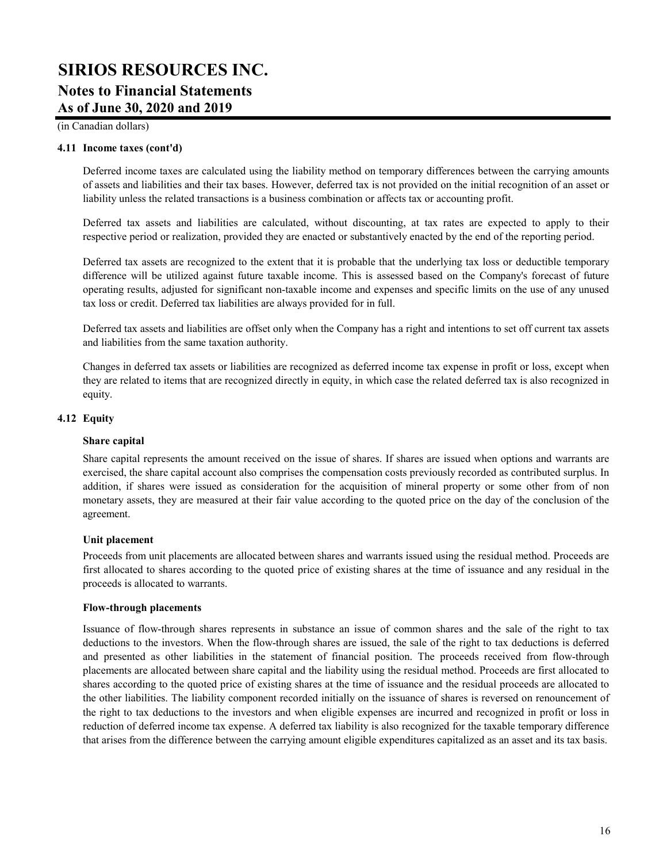(in Canadian dollars)

## **4.11 Income taxes (cont'd)**

Deferred income taxes are calculated using the liability method on temporary differences between the carrying amounts of assets and liabilities and their tax bases. However, deferred tax is not provided on the initial recognition of an asset or liability unless the related transactions is a business combination or affects tax or accounting profit.

Deferred tax assets and liabilities are calculated, without discounting, at tax rates are expected to apply to their respective period or realization, provided they are enacted or substantively enacted by the end of the reporting period.

Deferred tax assets are recognized to the extent that it is probable that the underlying tax loss or deductible temporary difference will be utilized against future taxable income. This is assessed based on the Company's forecast of future operating results, adjusted for significant non-taxable income and expenses and specific limits on the use of any unused tax loss or credit. Deferred tax liabilities are always provided for in full.

Deferred tax assets and liabilities are offset only when the Company has a right and intentions to set off current tax assets and liabilities from the same taxation authority.

Changes in deferred tax assets or liabilities are recognized as deferred income tax expense in profit or loss, except when they are related to items that are recognized directly in equity, in which case the related deferred tax is also recognized in equity.

## **4.12 Equity**

## **Share capital**

Share capital represents the amount received on the issue of shares. If shares are issued when options and warrants are exercised, the share capital account also comprises the compensation costs previously recorded as contributed surplus. In addition, if shares were issued as consideration for the acquisition of mineral property or some other from of non monetary assets, they are measured at their fair value according to the quoted price on the day of the conclusion of the agreement.

## **Unit placement**

Proceeds from unit placements are allocated between shares and warrants issued using the residual method. Proceeds are first allocated to shares according to the quoted price of existing shares at the time of issuance and any residual in the proceeds is allocated to warrants.

## **Flow-through placements**

Issuance of flow-through shares represents in substance an issue of common shares and the sale of the right to tax deductions to the investors. When the flow-through shares are issued, the sale of the right to tax deductions is deferred and presented as other liabilities in the statement of financial position. The proceeds received from flow-through placements are allocated between share capital and the liability using the residual method. Proceeds are first allocated to shares according to the quoted price of existing shares at the time of issuance and the residual proceeds are allocated to the other liabilities. The liability component recorded initially on the issuance of shares is reversed on renouncement of the right to tax deductions to the investors and when eligible expenses are incurred and recognized in profit or loss in reduction of deferred income tax expense. A deferred tax liability is also recognized for the taxable temporary difference that arises from the difference between the carrying amount eligible expenditures capitalized as an asset and its tax basis.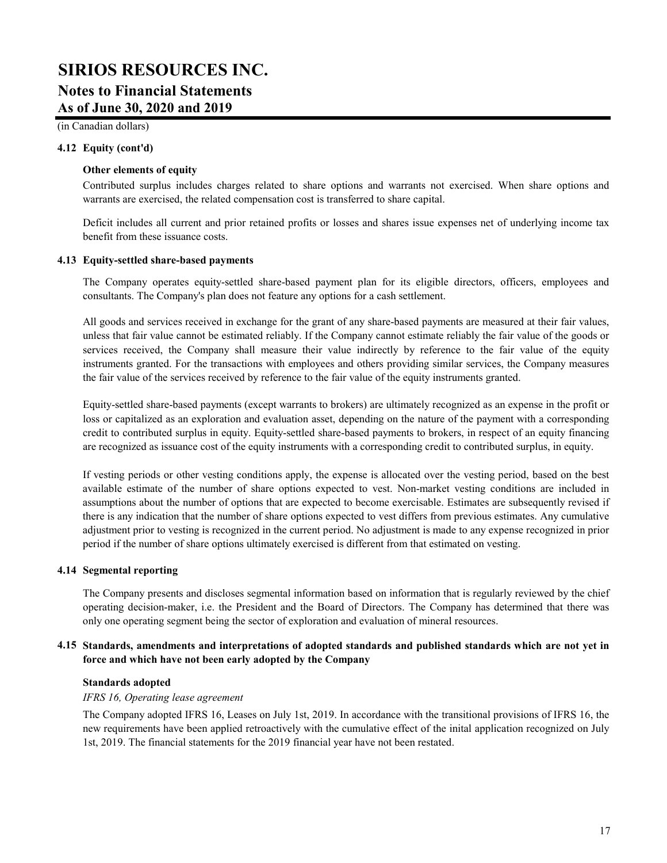(in Canadian dollars)

## **4.12 Equity (cont'd)**

## **Other elements of equity**

Contributed surplus includes charges related to share options and warrants not exercised. When share options and warrants are exercised, the related compensation cost is transferred to share capital.

Deficit includes all current and prior retained profits or losses and shares issue expenses net of underlying income tax benefit from these issuance costs.

## **4.13 Equity-settled share-based payments**

The Company operates equity-settled share-based payment plan for its eligible directors, officers, employees and consultants. The Company's plan does not feature any options for a cash settlement.

All goods and services received in exchange for the grant of any share-based payments are measured at their fair values, unless that fair value cannot be estimated reliably. If the Company cannot estimate reliably the fair value of the goods or services received, the Company shall measure their value indirectly by reference to the fair value of the equity instruments granted. For the transactions with employees and others providing similar services, the Company measures the fair value of the services received by reference to the fair value of the equity instruments granted.

Equity-settled share-based payments (except warrants to brokers) are ultimately recognized as an expense in the profit or loss or capitalized as an exploration and evaluation asset, depending on the nature of the payment with a corresponding credit to contributed surplus in equity. Equity-settled share-based payments to brokers, in respect of an equity financing are recognized as issuance cost of the equity instruments with a corresponding credit to contributed surplus, in equity.

If vesting periods or other vesting conditions apply, the expense is allocated over the vesting period, based on the best available estimate of the number of share options expected to vest. Non-market vesting conditions are included in assumptions about the number of options that are expected to become exercisable. Estimates are subsequently revised if there is any indication that the number of share options expected to vest differs from previous estimates. Any cumulative adjustment prior to vesting is recognized in the current period. No adjustment is made to any expense recognized in prior period if the number of share options ultimately exercised is different from that estimated on vesting.

## **4.14 Segmental reporting**

The Company presents and discloses segmental information based on information that is regularly reviewed by the chief operating decision-maker, i.e. the President and the Board of Directors. The Company has determined that there was only one operating segment being the sector of exploration and evaluation of mineral resources.

## **4.15 Standards, amendments and interpretations of adopted standards and published standards which are not yet in force and which have not been early adopted by the Company**

## **Standards adopted**

## *IFRS 16, Operating lease agreement*

The Company adopted IFRS 16, Leases on July 1st, 2019. In accordance with the transitional provisions of IFRS 16, the new requirements have been applied retroactively with the cumulative effect of the inital application recognized on July 1st, 2019. The financial statements for the 2019 financial year have not been restated.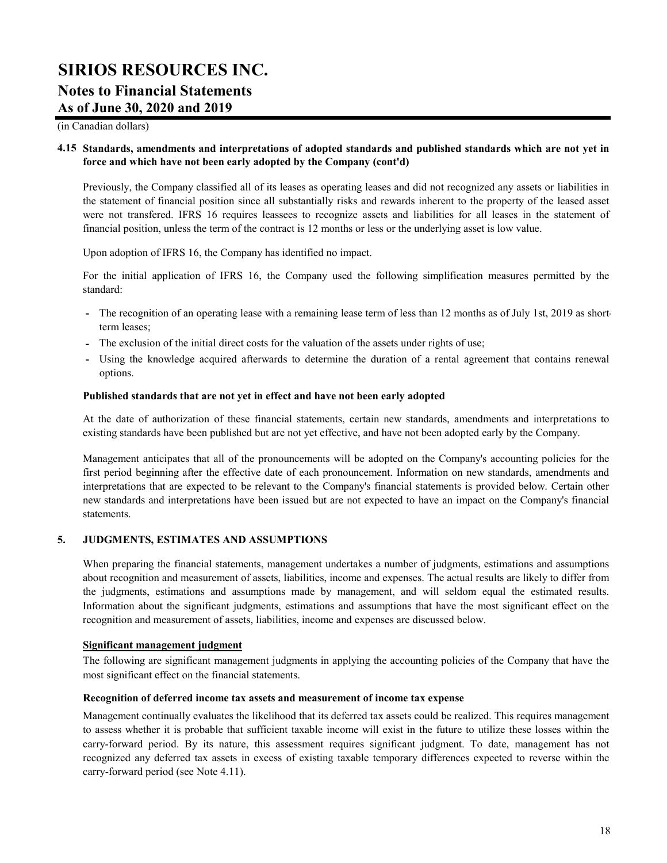(in Canadian dollars)

## **4.15 Standards, amendments and interpretations of adopted standards and published standards which are not yet in force and which have not been early adopted by the Company (cont'd)**

Previously, the Company classified all of its leases as operating leases and did not recognized any assets or liabilities in the statement of financial position since all substantially risks and rewards inherent to the property of the leased asset were not transfered. IFRS 16 requires leassees to recognize assets and liabilities for all leases in the statement of financial position, unless the term of the contract is 12 months or less or the underlying asset is low value.

Upon adoption of IFRS 16, the Company has identified no impact.

For the initial application of IFRS 16, the Company used the following simplification measures permitted by the standard:

- **-** The recognition of an operating lease with a remaining lease term of less than 12 months as of July 1st, 2019 as shortterm leases;
- **-** The exclusion of the initial direct costs for the valuation of the assets under rights of use;
- **-** Using the knowledge acquired afterwards to determine the duration of a rental agreement that contains renewal options.

## **Published standards that are not yet in effect and have not been early adopted**

At the date of authorization of these financial statements, certain new standards, amendments and interpretations to existing standards have been published but are not yet effective, and have not been adopted early by the Company.

Management anticipates that all of the pronouncements will be adopted on the Company's accounting policies for the first period beginning after the effective date of each pronouncement. Information on new standards, amendments and interpretations that are expected to be relevant to the Company's financial statements is provided below. Certain other new standards and interpretations have been issued but are not expected to have an impact on the Company's financial statements.

## **5. JUDGMENTS, ESTIMATES AND ASSUMPTIONS**

When preparing the financial statements, management undertakes a number of judgments, estimations and assumptions about recognition and measurement of assets, liabilities, income and expenses. The actual results are likely to differ from the judgments, estimations and assumptions made by management, and will seldom equal the estimated results. Information about the significant judgments, estimations and assumptions that have the most significant effect on the recognition and measurement of assets, liabilities, income and expenses are discussed below.

## **Significant management judgment**

The following are significant management judgments in applying the accounting policies of the Company that have the most significant effect on the financial statements.

## **Recognition of deferred income tax assets and measurement of income tax expense**

Management continually evaluates the likelihood that its deferred tax assets could be realized. This requires management to assess whether it is probable that sufficient taxable income will exist in the future to utilize these losses within the carry-forward period. By its nature, this assessment requires significant judgment. To date, management has not recognized any deferred tax assets in excess of existing taxable temporary differences expected to reverse within the carry-forward period (see Note 4.11).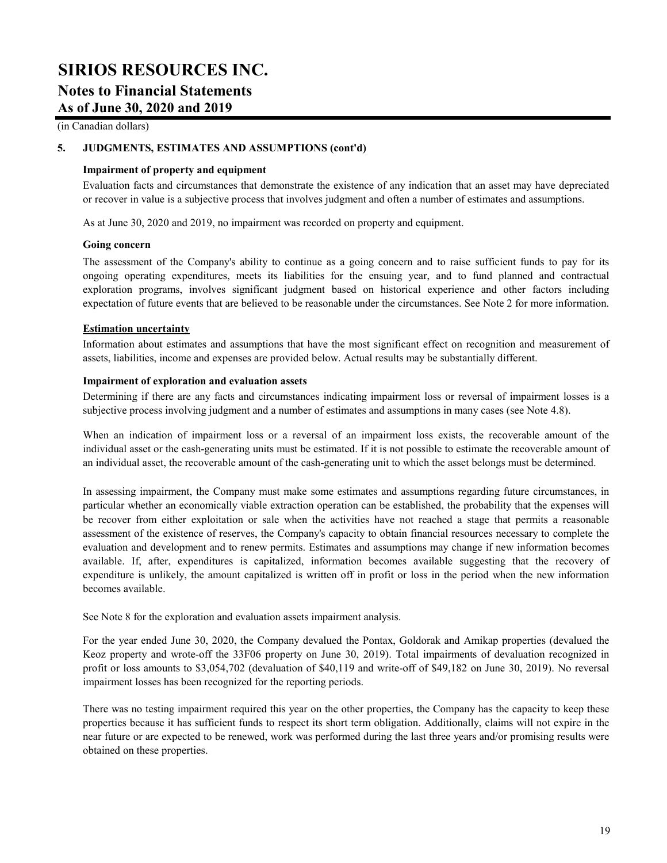(in Canadian dollars)

## **5. JUDGMENTS, ESTIMATES AND ASSUMPTIONS (cont'd)**

## **Impairment of property and equipment**

Evaluation facts and circumstances that demonstrate the existence of any indication that an asset may have depreciated or recover in value is a subjective process that involves judgment and often a number of estimates and assumptions.

As at June 30, 2020 and 2019, no impairment was recorded on property and equipment.

## **Going concern**

The assessment of the Company's ability to continue as a going concern and to raise sufficient funds to pay for its ongoing operating expenditures, meets its liabilities for the ensuing year, and to fund planned and contractual exploration programs, involves significant judgment based on historical experience and other factors including expectation of future events that are believed to be reasonable under the circumstances. See Note 2 for more information.

## **Estimation uncertainty**

Information about estimates and assumptions that have the most significant effect on recognition and measurement of assets, liabilities, income and expenses are provided below. Actual results may be substantially different.

## **Impairment of exploration and evaluation assets**

Determining if there are any facts and circumstances indicating impairment loss or reversal of impairment losses is a subjective process involving judgment and a number of estimates and assumptions in many cases (see Note 4.8).

When an indication of impairment loss or a reversal of an impairment loss exists, the recoverable amount of the individual asset or the cash-generating units must be estimated. If it is not possible to estimate the recoverable amount of an individual asset, the recoverable amount of the cash-generating unit to which the asset belongs must be determined.

In assessing impairment, the Company must make some estimates and assumptions regarding future circumstances, in particular whether an economically viable extraction operation can be established, the probability that the expenses will be recover from either exploitation or sale when the activities have not reached a stage that permits a reasonable assessment of the existence of reserves, the Company's capacity to obtain financial resources necessary to complete the evaluation and development and to renew permits. Estimates and assumptions may change if new information becomes available. If, after, expenditures is capitalized, information becomes available suggesting that the recovery of expenditure is unlikely, the amount capitalized is written off in profit or loss in the period when the new information becomes available.

See Note 8 for the exploration and evaluation assets impairment analysis.

For the year ended June 30, 2020, the Company devalued the Pontax, Goldorak and Amikap properties (devalued the Keoz property and wrote-off the 33F06 property on June 30, 2019). Total impairments of devaluation recognized in profit or loss amounts to \$3,054,702 (devaluation of \$40,119 and write-off of \$49,182 on June 30, 2019). No reversal impairment losses has been recognized for the reporting periods.

There was no testing impairment required this year on the other properties, the Company has the capacity to keep these properties because it has sufficient funds to respect its short term obligation. Additionally, claims will not expire in the near future or are expected to be renewed, work was performed during the last three years and/or promising results were obtained on these properties.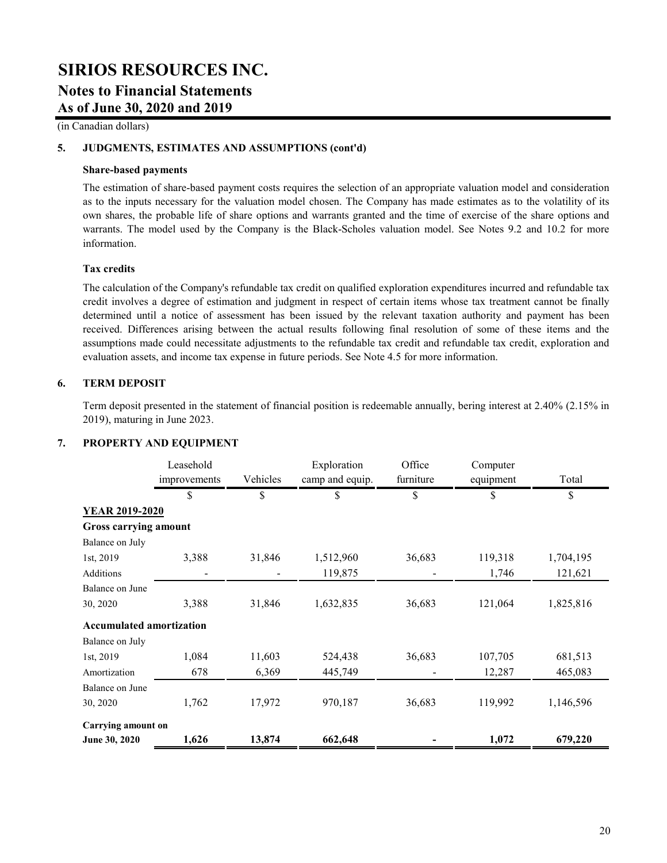(in Canadian dollars)

## **5. JUDGMENTS, ESTIMATES AND ASSUMPTIONS (cont'd)**

## **Share-based payments**

The estimation of share-based payment costs requires the selection of an appropriate valuation model and consideration as to the inputs necessary for the valuation model chosen. The Company has made estimates as to the volatility of its own shares, the probable life of share options and warrants granted and the time of exercise of the share options and warrants. The model used by the Company is the Black-Scholes valuation model. See Notes 9.2 and 10.2 for more information.

## **Tax credits**

The calculation of the Company's refundable tax credit on qualified exploration expenditures incurred and refundable tax credit involves a degree of estimation and judgment in respect of certain items whose tax treatment cannot be finally determined until a notice of assessment has been issued by the relevant taxation authority and payment has been received. Differences arising between the actual results following final resolution of some of these items and the assumptions made could necessitate adjustments to the refundable tax credit and refundable tax credit, exploration and evaluation assets, and income tax expense in future periods. See Note 4.5 for more information.

## **6. TERM DEPOSIT**

Term deposit presented in the statement of financial position is redeemable annually, bering interest at 2.40% (2.15% in 2019), maturing in June 2023.

## **7. PROPERTY AND EQUIPMENT**

|                                 | Leasehold<br>improvements | Vehicles | Exploration<br>camp and equip. | Office<br>furniture | Computer<br>equipment | Total     |
|---------------------------------|---------------------------|----------|--------------------------------|---------------------|-----------------------|-----------|
|                                 | \$                        | \$       | \$                             | \$                  | \$                    | \$        |
| <b>YEAR 2019-2020</b>           |                           |          |                                |                     |                       |           |
| Gross carrying amount           |                           |          |                                |                     |                       |           |
| Balance on July                 |                           |          |                                |                     |                       |           |
| 1st, 2019                       | 3,388                     | 31,846   | 1,512,960                      | 36,683              | 119,318               | 1,704,195 |
| <b>Additions</b>                |                           |          | 119,875                        |                     | 1,746                 | 121,621   |
| Balance on June                 |                           |          |                                |                     |                       |           |
| 30, 2020                        | 3,388                     | 31,846   | 1,632,835                      | 36,683              | 121,064               | 1,825,816 |
| <b>Accumulated amortization</b> |                           |          |                                |                     |                       |           |
| Balance on July                 |                           |          |                                |                     |                       |           |
| 1st, 2019                       | 1,084                     | 11,603   | 524,438                        | 36,683              | 107,705               | 681,513   |
| Amortization                    | 678                       | 6,369    | 445,749                        |                     | 12,287                | 465,083   |
| Balance on June                 |                           |          |                                |                     |                       |           |
| 30, 2020                        | 1,762                     | 17,972   | 970,187                        | 36,683              | 119,992               | 1,146,596 |
| <b>Carrying amount on</b>       |                           |          |                                |                     |                       |           |
| June 30, 2020                   | 1,626                     | 13,874   | 662,648                        |                     | 1,072                 | 679,220   |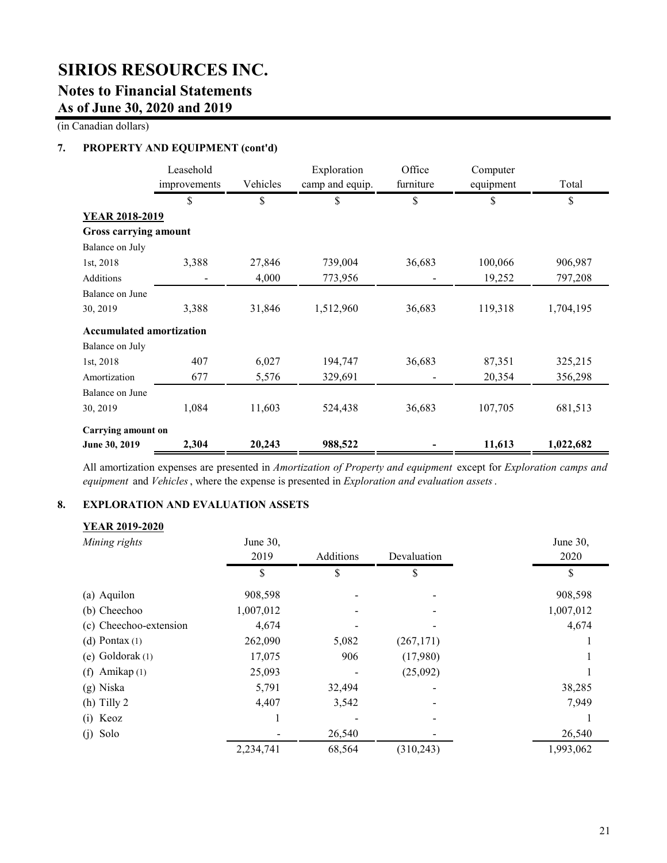# **SIRIOS RESOURCES INC.**

# **Notes to Financial Statements**

**As of June 30, 2020 and 2019**

(in Canadian dollars)

## **7. PROPERTY AND EQUIPMENT (cont'd)**

|                                 | Leasehold<br>improvements | Vehicles | Exploration<br>camp and equip. | Office<br>furniture | Computer<br>equipment | Total     |
|---------------------------------|---------------------------|----------|--------------------------------|---------------------|-----------------------|-----------|
|                                 | \$                        | \$       | \$                             | \$                  | \$                    | \$        |
| YEAR 2018-2019                  |                           |          |                                |                     |                       |           |
| Gross carrying amount           |                           |          |                                |                     |                       |           |
| Balance on July                 |                           |          |                                |                     |                       |           |
| 1st, 2018                       | 3,388                     | 27,846   | 739,004                        | 36,683              | 100,066               | 906,987   |
| <b>Additions</b>                |                           | 4,000    | 773,956                        |                     | 19,252                | 797,208   |
| Balance on June                 |                           |          |                                |                     |                       |           |
| 30, 2019                        | 3,388                     | 31,846   | 1,512,960                      | 36,683              | 119,318               | 1,704,195 |
| <b>Accumulated amortization</b> |                           |          |                                |                     |                       |           |
| Balance on July                 |                           |          |                                |                     |                       |           |
| 1st, 2018                       | 407                       | 6,027    | 194,747                        | 36,683              | 87,351                | 325,215   |
| Amortization                    | 677                       | 5,576    | 329,691                        |                     | 20,354                | 356,298   |
| Balance on June                 |                           |          |                                |                     |                       |           |
| 30, 2019                        | 1,084                     | 11,603   | 524,438                        | 36,683              | 107,705               | 681,513   |
| <b>Carrying amount on</b>       |                           |          |                                |                     |                       |           |
| June 30, 2019                   | 2,304                     | 20,243   | 988,522                        |                     | 11,613                | 1,022,682 |

All amortization expenses are presented in *Amortization of Property and equipment* except for *Exploration camps and equipment* and *Vehicles*, where the expense is presented in *Exploration and evaluation assets*.

## **8. EXPLORATION AND EVALUATION ASSETS**

## **YEAR 2019-2020**

| Mining rights          | June 30,  |           |             | June $30$ , |
|------------------------|-----------|-----------|-------------|-------------|
|                        | 2019      | Additions | Devaluation | 2020        |
|                        | S         | \$        | S           |             |
| (a) Aquilon            | 908,598   |           |             | 908,598     |
| (b) Cheechoo           | 1,007,012 |           |             | 1,007,012   |
| (c) Cheechoo-extension | 4,674     |           |             | 4,674       |
| (d) Pontax $(1)$       | 262,090   | 5,082     | (267, 171)  |             |
| (e) Goldorak $(1)$     | 17,075    | 906       | (17,980)    |             |
| (f) Amikap $(1)$       | 25,093    |           | (25,092)    |             |
| $(g)$ Niska            | 5,791     | 32,494    |             | 38,285      |
| $(h)$ Tilly 2          | 4,407     | 3,542     |             | 7,949       |
| (i) Keoz               |           |           |             |             |
| (j) Solo               |           | 26,540    |             | 26,540      |
|                        | 2,234,741 | 68,564    | (310, 243)  | 1,993,062   |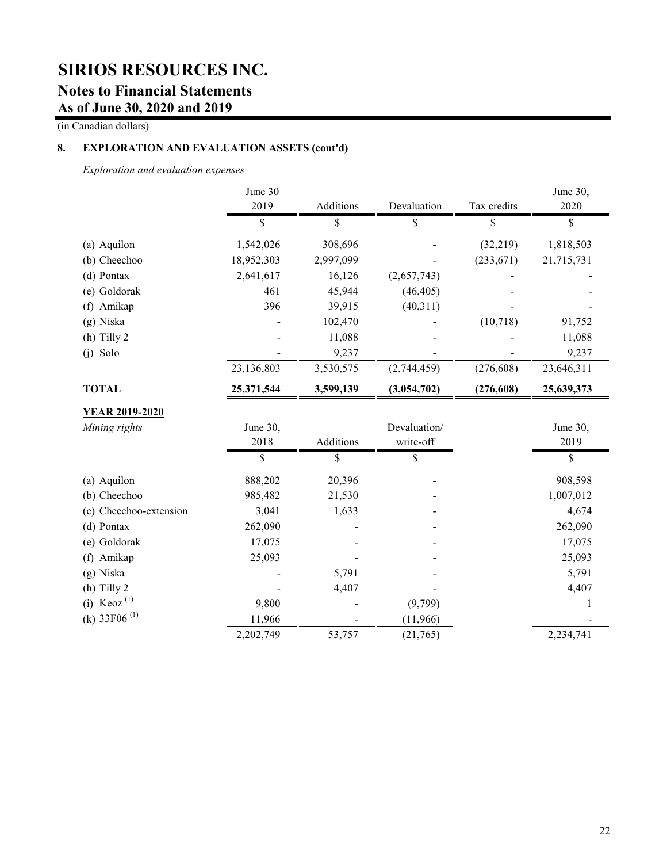# **SIRIOS RESOURCES INC.**

## **Notes to Financial Statements As of June 30, 2020 and 2019**

(in Canadian dollars)

## **8. EXPLORATION AND EVALUATION ASSETS (cont'd)**

*Exploration and evaluation expenses*

|                              | June 30    |           |              |             | June 30,   |
|------------------------------|------------|-----------|--------------|-------------|------------|
|                              | 2019       | Additions | Devaluation  | Tax credits | 2020       |
|                              | \$         | \$        | \$           | \$          | \$         |
| (a) Aquilon                  | 1,542,026  | 308,696   |              | (32,219)    | 1,818,503  |
| (b) Cheechoo                 | 18,952,303 | 2,997,099 |              | (233, 671)  | 21,715,731 |
| (d) Pontax                   | 2,641,617  | 16,126    | (2,657,743)  |             |            |
| (e) Goldorak                 | 461        | 45,944    | (46, 405)    |             |            |
| Amikap<br>(f)                | 396        | 39,915    | (40,311)     |             |            |
| Niska<br>(g)                 |            | 102,470   |              | (10, 718)   | 91,752     |
| (h) Tilly 2                  |            | 11,088    |              |             | 11,088     |
| Solo<br>(i)                  |            | 9,237     |              |             | 9,237      |
|                              | 23,136,803 | 3,530,575 | (2,744,459)  | (276, 608)  | 23,646,311 |
| <b>TOTAL</b>                 | 25,371,544 | 3,599,139 | (3,054,702)  | (276, 608)  | 25,639,373 |
| <b>YEAR 2019-2020</b>        |            |           |              |             |            |
| Mining rights                | June 30,   |           | Devaluation/ |             | June 30,   |
|                              | 2018       | Additions | write-off    |             | 2019       |
|                              | \$         | \$        | \$           |             | \$         |
| (a) Aquilon                  | 888,202    | 20,396    |              |             | 908,598    |
| (b) Cheechoo                 | 985,482    | 21,530    |              |             | 1,007,012  |
| (c) Cheechoo-extension       | 3,041      | 1,633     |              |             | 4,674      |
| (d) Pontax                   | 262,090    |           |              |             | 262,090    |
| (e) Goldorak                 | 17,075     |           |              |             | 17,075     |
| Amikap<br>(f)                | 25,093     |           |              |             | 25,093     |
| (g) Niska                    |            | 5,791     |              |             | 5,791      |
| (h) Tilly 2                  |            | 4,407     |              |             | 4,407      |
| $Keoz$ <sup>(1)</sup><br>(i) | 9,800      |           | (9,799)      |             | 1          |
| (k) $33F06$ <sup>(1)</sup>   | 11,966     |           | (11,966)     |             |            |
|                              | 2,202,749  | 53,757    | (21,765)     |             | 2,234,741  |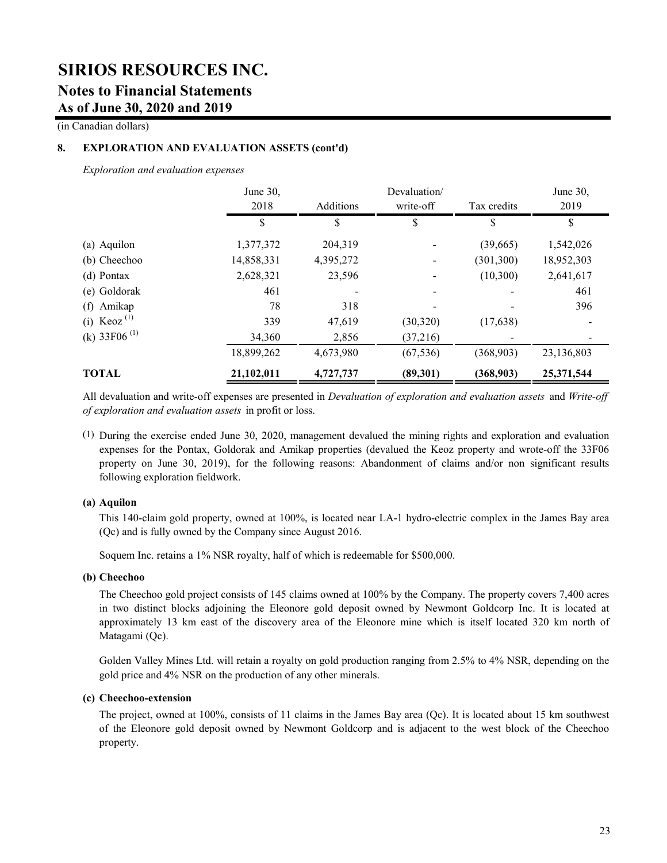# **SIRIOS RESOURCES INC.**

## **Notes to Financial Statements As of June 30, 2020 and 2019**

(in Canadian dollars)

## **8. EXPLORATION AND EVALUATION ASSETS (cont'd)**

*Exploration and evaluation expenses*

|                          | June 30,   |           | Devaluation/ |             | June $30$ , |
|--------------------------|------------|-----------|--------------|-------------|-------------|
|                          | 2018       | Additions | write-off    | Tax credits | 2019        |
|                          | \$         | \$        | \$           | \$          | \$          |
| (a) Aquilon              | 1,377,372  | 204.319   |              | (39,665)    | 1,542,026   |
| (b) Cheechoo             | 14,858,331 | 4,395,272 |              | (301, 300)  | 18,952,303  |
| (d) Pontax               | 2,628,321  | 23,596    |              | (10,300)    | 2,641,617   |
| (e) Goldorak             | 461        |           |              |             | 461         |
| (f) Amikap               | 78         | 318       |              |             | 396         |
| (i) Keoz <sup>(1)</sup>  | 339        | 47,619    | (30, 320)    | (17,638)    |             |
| (k) 33F06 <sup>(1)</sup> | 34,360     | 2,856     | (37,216)     |             |             |
|                          | 18,899,262 | 4,673,980 | (67, 536)    | (368,903)   | 23,136,803  |
| <b>TOTAL</b>             | 21,102,011 | 4,727,737 | (89,301)     | (368,903)   | 25,371,544  |

All devaluation and write-off expenses are presented in *Devaluation of exploration and evaluation assets* and *Write-off of exploration and evaluation assets* in profit or loss.

(1) During the exercise ended June 30, 2020, management devalued the mining rights and exploration and evaluation expenses for the Pontax, Goldorak and Amikap properties (devalued the Keoz property and wrote-off the 33F06 property on June 30, 2019), for the following reasons: Abandonment of claims and/or non significant results following exploration fieldwork.

## **(a) Aquilon**

This 140-claim gold property, owned at 100%, is located near LA-1 hydro-electric complex in the James Bay area (Qc) and is fully owned by the Company since August 2016.

Soquem Inc. retains a 1% NSR royalty, half of which is redeemable for \$500,000.

## **(b) Cheechoo**

The Cheechoo gold project consists of 145 claims owned at 100% by the Company. The property covers 7,400 acres in two distinct blocks adjoining the Eleonore gold deposit owned by Newmont Goldcorp Inc. It is located at approximately 13 km east of the discovery area of the Eleonore mine which is itself located 320 km north of Matagami (Qc).

Golden Valley Mines Ltd. will retain a royalty on gold production ranging from 2.5% to 4% NSR, depending on the gold price and 4% NSR on the production of any other minerals.

## **(c) Cheechoo-extension**

The project, owned at 100%, consists of 11 claims in the James Bay area (Qc). It is located about 15 km southwest of the Eleonore gold deposit owned by Newmont Goldcorp and is adjacent to the west block of the Cheechoo property.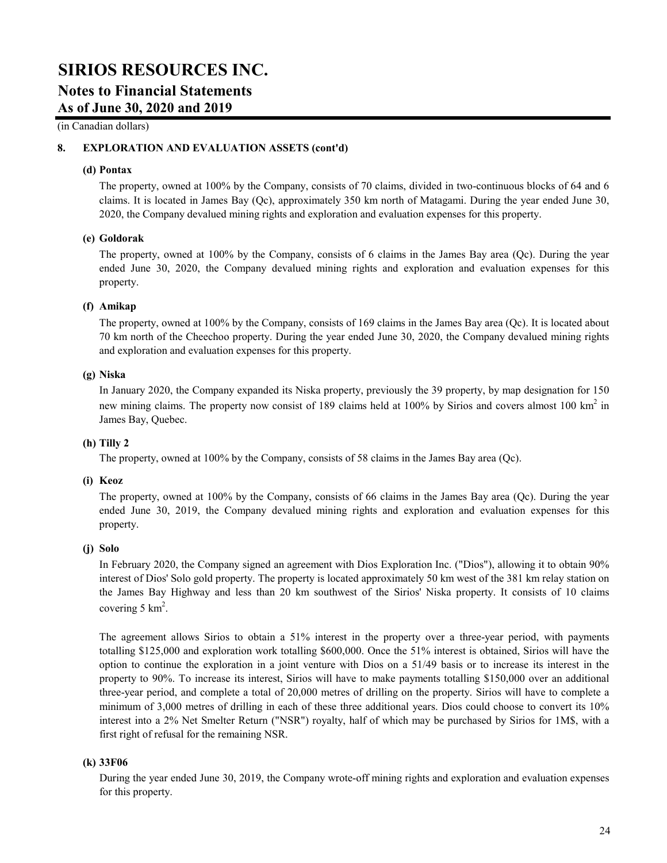(in Canadian dollars)

## **8. EXPLORATION AND EVALUATION ASSETS (cont'd)**

## **(d) Pontax**

The property, owned at 100% by the Company, consists of 70 claims, divided in two-continuous blocks of 64 and 6 claims. It is located in James Bay (Qc), approximately 350 km north of Matagami. During the year ended June 30, 2020, the Company devalued mining rights and exploration and evaluation expenses for this property.

## **(e) Goldorak**

The property, owned at 100% by the Company, consists of 6 claims in the James Bay area (Qc). During the year ended June 30, 2020, the Company devalued mining rights and exploration and evaluation expenses for this property.

## **(f) Amikap**

The property, owned at 100% by the Company, consists of 169 claims in the James Bay area (Qc). It is located about 70 km north of the Cheechoo property. During the year ended June 30, 2020, the Company devalued mining rights and exploration and evaluation expenses for this property.

## **(g) Niska**

In January 2020, the Company expanded its Niska property, previously the 39 property, by map designation for 150 new mining claims. The property now consist of 189 claims held at 100% by Sirios and covers almost 100 km<sup>2</sup> in James Bay, Quebec.

## **(h) Tilly 2**

The property, owned at 100% by the Company, consists of 58 claims in the James Bay area (Qc).

#### **(i) Keoz**

The property, owned at 100% by the Company, consists of 66 claims in the James Bay area (Qc). During the year ended June 30, 2019, the Company devalued mining rights and exploration and evaluation expenses for this property.

## **(j) Solo**

In February 2020, the Company signed an agreement with Dios Exploration Inc. ("Dios"), allowing it to obtain 90% interest of Dios' Solo gold property. The property is located approximately 50 km west of the 381 km relay station on the James Bay Highway and less than 20 km southwest of the Sirios' Niska property. It consists of 10 claims covering  $5 \text{ km}^2$ .

The agreement allows Sirios to obtain a 51% interest in the property over a three-year period, with payments totalling \$125,000 and exploration work totalling \$600,000. Once the 51% interest is obtained, Sirios will have the option to continue the exploration in a joint venture with Dios on a 51/49 basis or to increase its interest in the property to 90%. To increase its interest, Sirios will have to make payments totalling \$150,000 over an additional three-year period, and complete a total of 20,000 metres of drilling on the property. Sirios will have to complete a minimum of 3,000 metres of drilling in each of these three additional years. Dios could choose to convert its 10% interest into a 2% Net Smelter Return ("NSR") royalty, half of which may be purchased by Sirios for 1M\$, with a first right of refusal for the remaining NSR.

## **(k) 33F06**

During the year ended June 30, 2019, the Company wrote-off mining rights and exploration and evaluation expenses for this property.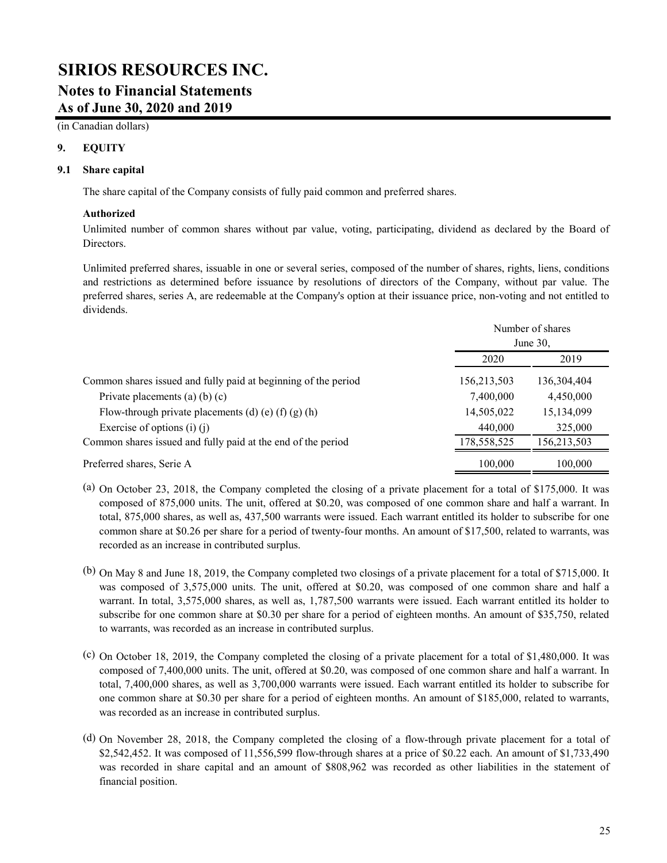(in Canadian dollars)

## **9. EQUITY**

## **9.1 Share capital**

The share capital of the Company consists of fully paid common and preferred shares.

## **Authorized**

Unlimited number of common shares without par value, voting, participating, dividend as declared by the Board of Directors.

Unlimited preferred shares, issuable in one or several series, composed of the number of shares, rights, liens, conditions and restrictions as determined before issuance by resolutions of directors of the Company, without par value. The preferred shares, series A, are redeemable at the Company's option at their issuance price, non-voting and not entitled to dividends.

|                                                                |             | Number of shares |  |  |
|----------------------------------------------------------------|-------------|------------------|--|--|
|                                                                |             | June $30$ ,      |  |  |
|                                                                | 2020        | 2019             |  |  |
| Common shares issued and fully paid at beginning of the period | 156,213,503 | 136, 304, 404    |  |  |
| Private placements (a) $(b)$ (c)                               | 7,400,000   | 4,450,000        |  |  |
| Flow-through private placements (d) (e) (f) (g) (h)            | 14,505,022  | 15,134,099       |  |  |
| Exercise of options $(i)$ $(i)$                                | 440,000     | 325,000          |  |  |
| Common shares issued and fully paid at the end of the period   | 178,558,525 | 156,213,503      |  |  |
| Preferred shares, Serie A                                      | 100,000     | 100,000          |  |  |

- (a) On October 23, 2018, the Company completed the closing of a private placement for a total of \$175,000. It was composed of 875,000 units. The unit, offered at \$0.20, was composed of one common share and half a warrant. In total, 875,000 shares, as well as, 437,500 warrants were issued. Each warrant entitled its holder to subscribe for one common share at \$0.26 per share for a period of twenty-four months. An amount of \$17,500, related to warrants, was recorded as an increase in contributed surplus.
- (b) On May 8 and June 18, 2019, the Company completed two closings of a private placement for a total of \$715,000. It was composed of 3,575,000 units. The unit, offered at \$0.20, was composed of one common share and half a warrant. In total, 3,575,000 shares, as well as, 1,787,500 warrants were issued. Each warrant entitled its holder to subscribe for one common share at \$0.30 per share for a period of eighteen months. An amount of \$35,750, related to warrants, was recorded as an increase in contributed surplus.
- (c) On October 18, 2019, the Company completed the closing of a private placement for a total of \$1,480,000. It was composed of 7,400,000 units. The unit, offered at \$0.20, was composed of one common share and half a warrant. In total, 7,400,000 shares, as well as 3,700,000 warrants were issued. Each warrant entitled its holder to subscribe for one common share at \$0.30 per share for a period of eighteen months. An amount of \$185,000, related to warrants, was recorded as an increase in contributed surplus.
- (d) On November 28, 2018, the Company completed the closing of a flow-through private placement for a total of \$2,542,452. It was composed of 11,556,599 flow-through shares at a price of \$0.22 each. An amount of \$1,733,490 was recorded in share capital and an amount of \$808,962 was recorded as other liabilities in the statement of financial position.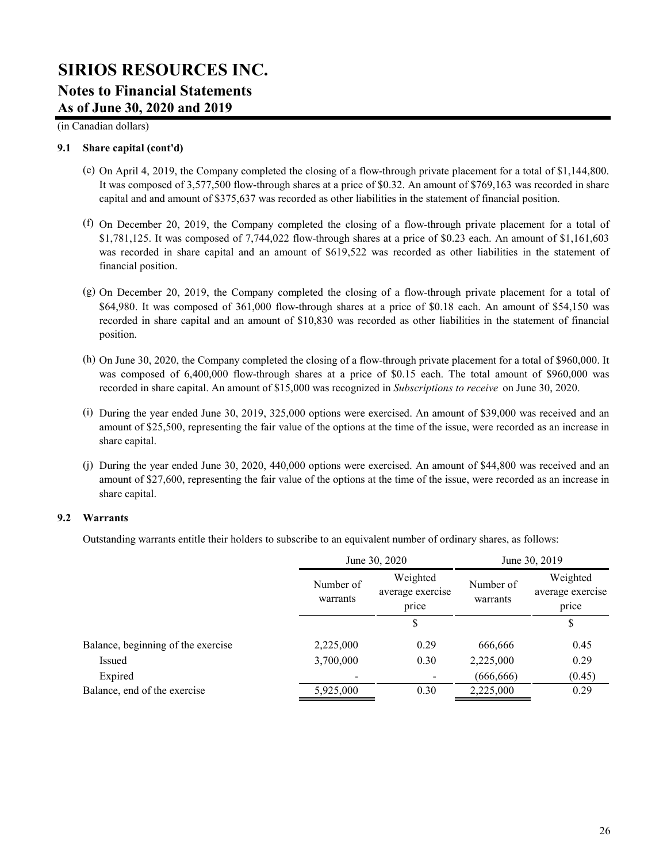(in Canadian dollars)

## **9.1 Share capital (cont'd)**

- (e) On April 4, 2019, the Company completed the closing of a flow-through private placement for a total of \$1,144,800. It was composed of 3,577,500 flow-through shares at a price of \$0.32. An amount of \$769,163 was recorded in share capital and and amount of \$375,637 was recorded as other liabilities in the statement of financial position.
- (f) On December 20, 2019, the Company completed the closing of a flow-through private placement for a total of \$1,781,125. It was composed of 7,744,022 flow-through shares at a price of \$0.23 each. An amount of \$1,161,603 was recorded in share capital and an amount of \$619,522 was recorded as other liabilities in the statement of financial position.
- (g) On December 20, 2019, the Company completed the closing of a flow-through private placement for a total of \$64,980. It was composed of 361,000 flow-through shares at a price of \$0.18 each. An amount of \$54,150 was recorded in share capital and an amount of \$10,830 was recorded as other liabilities in the statement of financial position.
- (h) On June 30, 2020, the Company completed the closing of a flow-through private placement for a total of \$960,000. It was composed of 6,400,000 flow-through shares at a price of \$0.15 each. The total amount of \$960,000 was recorded in share capital. An amount of \$15,000 was recognized in *Subscriptions to receive* on June 30, 2020.
- (i) During the year ended June 30, 2019, 325,000 options were exercised. An amount of \$39,000 was received and an amount of \$25,500, representing the fair value of the options at the time of the issue, were recorded as an increase in share capital.
- (j) During the year ended June 30, 2020, 440,000 options were exercised. An amount of \$44,800 was received and an amount of \$27,600, representing the fair value of the options at the time of the issue, were recorded as an increase in share capital.

## **9.2 Warrants**

Outstanding warrants entitle their holders to subscribe to an equivalent number of ordinary shares, as follows:

|                                    | June 30, 2020         |                                       |                       | June 30, 2019                         |
|------------------------------------|-----------------------|---------------------------------------|-----------------------|---------------------------------------|
|                                    | Number of<br>warrants | Weighted<br>average exercise<br>price | Number of<br>warrants | Weighted<br>average exercise<br>price |
|                                    |                       | S                                     |                       | S                                     |
| Balance, beginning of the exercise | 2,225,000             | 0.29                                  | 666,666               | 0.45                                  |
| Issued                             | 3,700,000             | 0.30                                  | 2,225,000             | 0.29                                  |
| Expired                            |                       |                                       | (666, 666)            | (0.45)                                |
| Balance, end of the exercise       | 5,925,000             | 0.30                                  | 2,225,000             | 0.29                                  |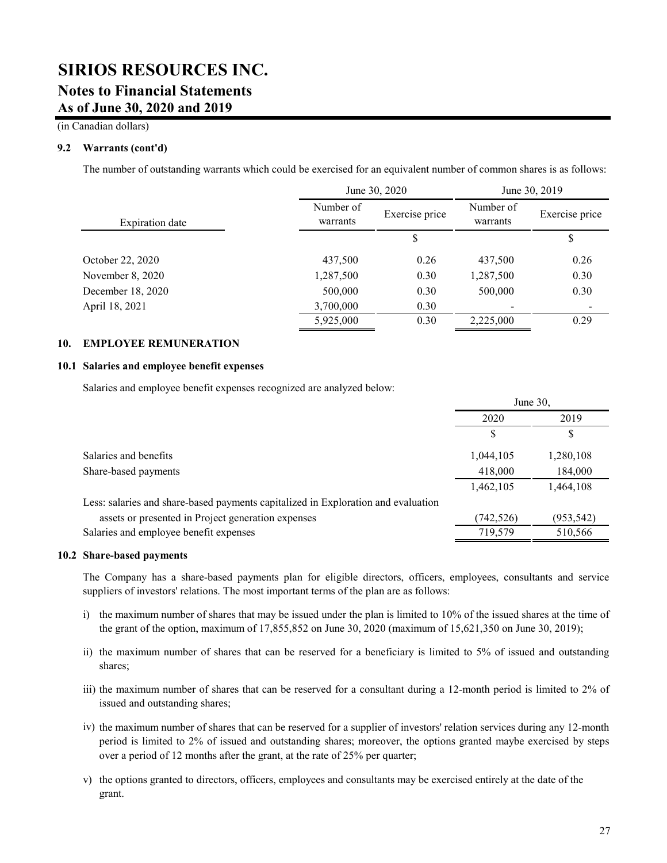## (in Canadian dollars)

## **9.2 Warrants (cont'd)**

The number of outstanding warrants which could be exercised for an equivalent number of common shares is as follows:

|                   | June 30, 2020         |                | June 30, 2019         |                |
|-------------------|-----------------------|----------------|-----------------------|----------------|
| Expiration date   | Number of<br>warrants | Exercise price | Number of<br>warrants | Exercise price |
|                   |                       | \$             |                       | \$             |
| October 22, 2020  | 437,500               | 0.26           | 437,500               | 0.26           |
| November 8, 2020  | 1,287,500             | 0.30           | 1,287,500             | 0.30           |
| December 18, 2020 | 500,000               | 0.30           | 500,000               | 0.30           |
| April 18, 2021    | 3,700,000             | 0.30           |                       |                |
|                   | 5,925,000             | 0.30           | 2,225,000             | 0.29           |

## **10. EMPLOYEE REMUNERATION**

#### **10.1 Salaries and employee benefit expenses**

Salaries and employee benefit expenses recognized are analyzed below:

|                                                                                   | June $30$ , |            |
|-----------------------------------------------------------------------------------|-------------|------------|
|                                                                                   | 2020        | 2019       |
|                                                                                   | S           | S          |
| Salaries and benefits                                                             | 1,044,105   | 1,280,108  |
| Share-based payments                                                              | 418,000     | 184,000    |
|                                                                                   | 1,462,105   | 1,464,108  |
| Less: salaries and share-based payments capitalized in Exploration and evaluation |             |            |
| assets or presented in Project generation expenses                                | (742, 526)  | (953, 542) |
| Salaries and employee benefit expenses                                            | 719,579     | 510,566    |
|                                                                                   |             |            |

## **10.2 Share-based payments**

The Company has a share-based payments plan for eligible directors, officers, employees, consultants and service suppliers of investors' relations. The most important terms of the plan are as follows:

- i) the maximum number of shares that may be issued under the plan is limited to 10% of the issued shares at the time of the grant of the option, maximum of 17,855,852 on June 30, 2020 (maximum of 15,621,350 on June 30, 2019);
- ii) the maximum number of shares that can be reserved for a beneficiary is limited to 5% of issued and outstanding shares;
- iii) the maximum number of shares that can be reserved for a consultant during a 12-month period is limited to 2% of issued and outstanding shares;
- iv) the maximum number of shares that can be reserved for a supplier of investors' relation services during any 12-month period is limited to 2% of issued and outstanding shares; moreover, the options granted maybe exercised by steps over a period of 12 months after the grant, at the rate of 25% per quarter;
- v) the options granted to directors, officers, employees and consultants may be exercised entirely at the date of the grant.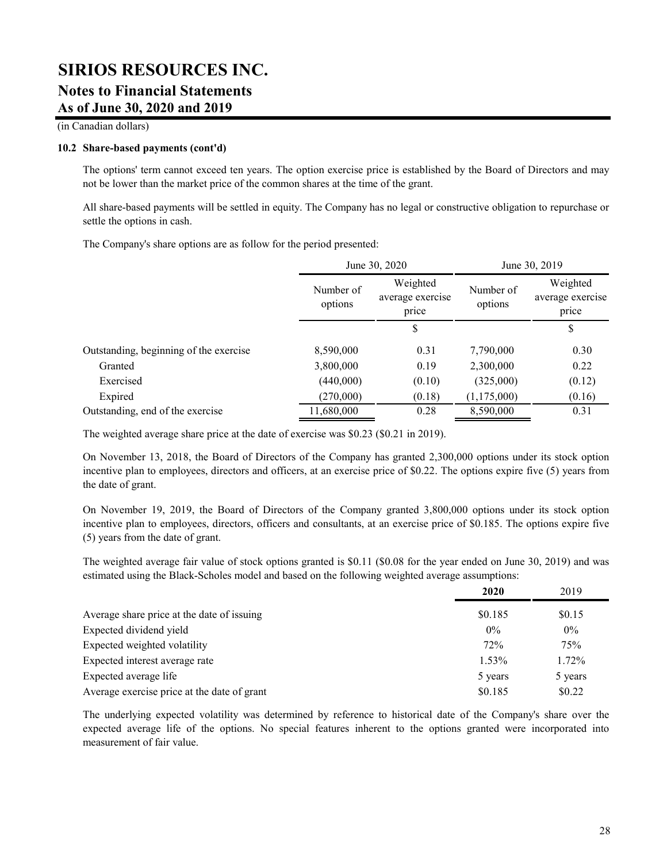(in Canadian dollars)

## **10.2 Share-based payments (cont'd)**

The options' term cannot exceed ten years. The option exercise price is established by the Board of Directors and may not be lower than the market price of the common shares at the time of the grant.

All share-based payments will be settled in equity. The Company has no legal or constructive obligation to repurchase or settle the options in cash.

The Company's share options are as follow for the period presented:

|                                        |                      | June 30, 2020                         |                      | June 30, 2019                         |  |
|----------------------------------------|----------------------|---------------------------------------|----------------------|---------------------------------------|--|
|                                        | Number of<br>options | Weighted<br>average exercise<br>price | Number of<br>options | Weighted<br>average exercise<br>price |  |
|                                        |                      | S                                     |                      | \$                                    |  |
| Outstanding, beginning of the exercise | 8,590,000            | 0.31                                  | 7,790,000            | 0.30                                  |  |
| Granted                                | 3,800,000            | 0.19                                  | 2,300,000            | 0.22                                  |  |
| Exercised                              | (440,000)            | (0.10)                                | (325,000)            | (0.12)                                |  |
| Expired                                | (270,000)            | (0.18)                                | (1, 175, 000)        | (0.16)                                |  |
| Outstanding, end of the exercise       | 11,680,000           | 0.28                                  | 8,590,000            | 0.31                                  |  |

The weighted average share price at the date of exercise was \$0.23 (\$0.21 in 2019).

On November 13, 2018, the Board of Directors of the Company has granted 2,300,000 options under its stock option incentive plan to employees, directors and officers, at an exercise price of \$0.22. The options expire five (5) years from the date of grant.

On November 19, 2019, the Board of Directors of the Company granted 3,800,000 options under its stock option incentive plan to employees, directors, officers and consultants, at an exercise price of \$0.185. The options expire five (5) years from the date of grant.

The weighted average fair value of stock options granted is \$0.11 (\$0.08 for the year ended on June 30, 2019) and was estimated using the Black-Scholes model and based on the following weighted average assumptions:

|                                             | 2020    | 2019    |
|---------------------------------------------|---------|---------|
| Average share price at the date of issuing  | \$0.185 | \$0.15  |
| Expected dividend yield                     | $0\%$   | $0\%$   |
| Expected weighted volatility                | 72%     | 75%     |
| Expected interest average rate              | 1.53%   | 1.72%   |
| Expected average life                       | 5 years | 5 years |
| Average exercise price at the date of grant | \$0.185 | \$0.22  |

The underlying expected volatility was determined by reference to historical date of the Company's share over the expected average life of the options. No special features inherent to the options granted were incorporated into measurement of fair value.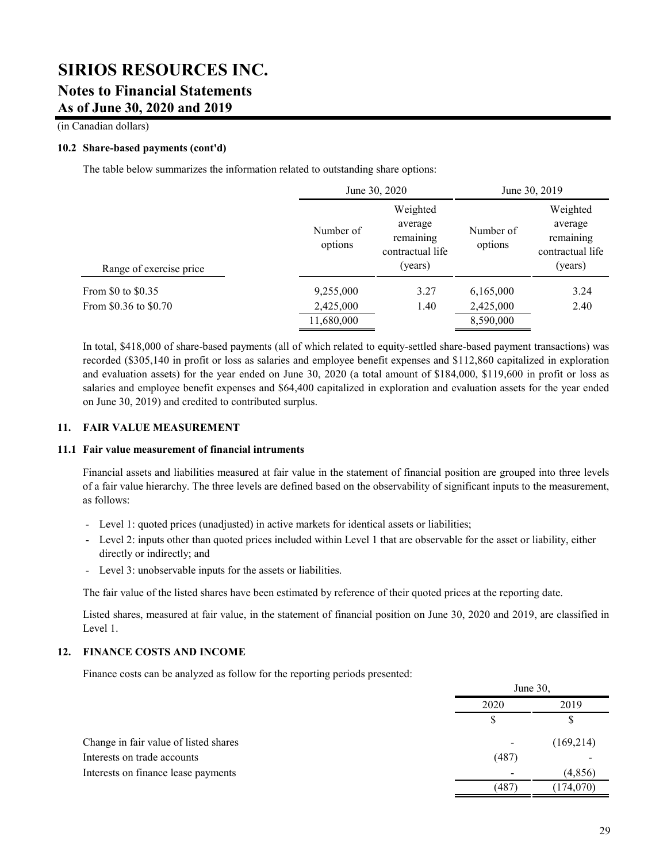(in Canadian dollars)

## **10.2 Share-based payments (cont'd)**

The table below summarizes the information related to outstanding share options:

|                         |                      | June 30, 2020                                                   |                      | June 30, 2019                                                   |  |
|-------------------------|----------------------|-----------------------------------------------------------------|----------------------|-----------------------------------------------------------------|--|
| Range of exercise price | Number of<br>options | Weighted<br>average<br>remaining<br>contractual life<br>(years) | Number of<br>options | Weighted<br>average<br>remaining<br>contractual life<br>(years) |  |
| From \$0 to \$0.35      | 9,255,000            | 3.27                                                            | 6,165,000            | 3.24                                                            |  |
| From \$0.36 to \$0.70   | 2,425,000            | 1.40                                                            | 2,425,000            | 2.40                                                            |  |
|                         | 11,680,000           |                                                                 | 8,590,000            |                                                                 |  |

In total, \$418,000 of share-based payments (all of which related to equity-settled share-based payment transactions) was recorded (\$305,140 in profit or loss as salaries and employee benefit expenses and \$112,860 capitalized in exploration and evaluation assets) for the year ended on June 30, 2020 (a total amount of \$184,000, \$119,600 in profit or loss as salaries and employee benefit expenses and \$64,400 capitalized in exploration and evaluation assets for the year ended on June 30, 2019) and credited to contributed surplus.

## **11. FAIR VALUE MEASUREMENT**

## **11.1 Fair value measurement of financial intruments**

Financial assets and liabilities measured at fair value in the statement of financial position are grouped into three levels of a fair value hierarchy. The three levels are defined based on the observability of significant inputs to the measurement, as follows:

- Level 1: quoted prices (unadjusted) in active markets for identical assets or liabilities;
- Level 2: inputs other than quoted prices included within Level 1 that are observable for the asset or liability, either directly or indirectly; and
- Level 3: unobservable inputs for the assets or liabilities.

The fair value of the listed shares have been estimated by reference of their quoted prices at the reporting date.

Listed shares, measured at fair value, in the statement of financial position on June 30, 2020 and 2019, are classified in Level 1.

## **12. FINANCE COSTS AND INCOME**

Finance costs can be analyzed as follow for the reporting periods presented:

|                                       | June $30$ , |           |
|---------------------------------------|-------------|-----------|
|                                       | 2020<br>\$  | 2019      |
|                                       |             | \$        |
| Change in fair value of listed shares |             | (169,214) |
| Interests on trade accounts           | (487)       |           |
| Interests on finance lease payments   |             | (4,856)   |
|                                       | (487        | (174,070) |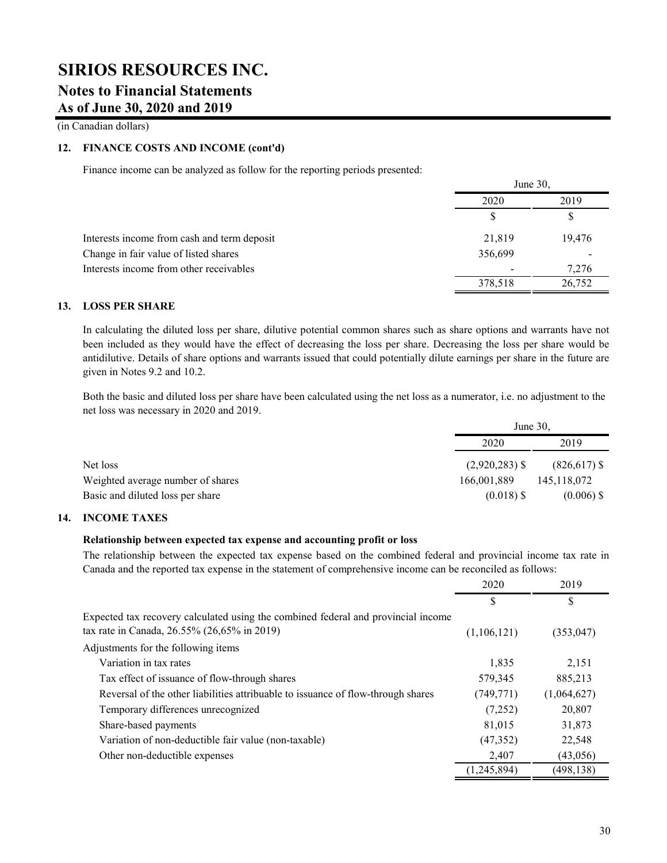(in Canadian dollars)

## **12. FINANCE COSTS AND INCOME (cont'd)**

Finance income can be analyzed as follow for the reporting periods presented:

|                                             | June $30$ , |        |
|---------------------------------------------|-------------|--------|
|                                             | 2020        | 2019   |
|                                             | S           |        |
| Interests income from cash and term deposit | 21,819      | 19,476 |
| Change in fair value of listed shares       | 356,699     |        |
| Interests income from other receivables     |             | 7,276  |
|                                             | 378,518     | 26,752 |

## **13. LOSS PER SHARE**

In calculating the diluted loss per share, dilutive potential common shares such as share options and warrants have not been included as they would have the effect of decreasing the loss per share. Decreasing the loss per share would be antidilutive. Details of share options and warrants issued that could potentially dilute earnings per share in the future are given in Notes 9.2 and 10.2.

Both the basic and diluted loss per share have been calculated using the net loss as a numerator, i.e. no adjustment to the net loss was necessary in 2020 and 2019.

|                                   | June $30$ ,      |                |
|-----------------------------------|------------------|----------------|
|                                   | 2020             | 2019           |
| Net loss                          | $(2,920,283)$ \$ | $(826,617)$ \$ |
| Weighted average number of shares | 166,001,889      | 145, 118, 072  |
| Basic and diluted loss per share  | $(0.018)$ \$     | $(0.006)$ \$   |

## **14. INCOME TAXES**

## **Relationship between expected tax expense and accounting profit or loss**

The relationship between the expected tax expense based on the combined federal and provincial income tax rate in Canada and the reported tax expense in the statement of comprehensive income can be reconciled as follows:

|                                                                                                                                  | 2020        | 2019        |
|----------------------------------------------------------------------------------------------------------------------------------|-------------|-------------|
|                                                                                                                                  | S           | \$.         |
| Expected tax recovery calculated using the combined federal and provincial income<br>tax rate in Canada, 26.55% (26,65% in 2019) | (1,106,121) | (353, 047)  |
| Adjustments for the following items                                                                                              |             |             |
| Variation in tax rates                                                                                                           | 1,835       | 2,151       |
| Tax effect of issuance of flow-through shares                                                                                    | 579,345     | 885,213     |
| Reversal of the other liabilities attribuable to issuance of flow-through shares                                                 | (749, 771)  | (1,064,627) |
| Temporary differences unrecognized                                                                                               | (7,252)     | 20,807      |
| Share-based payments                                                                                                             | 81.015      | 31,873      |
| Variation of non-deductible fair value (non-taxable)                                                                             | (47, 352)   | 22,548      |
| Other non-deductible expenses                                                                                                    | 2,407       | (43, 056)   |
|                                                                                                                                  | (1,245,894) | (498, 138)  |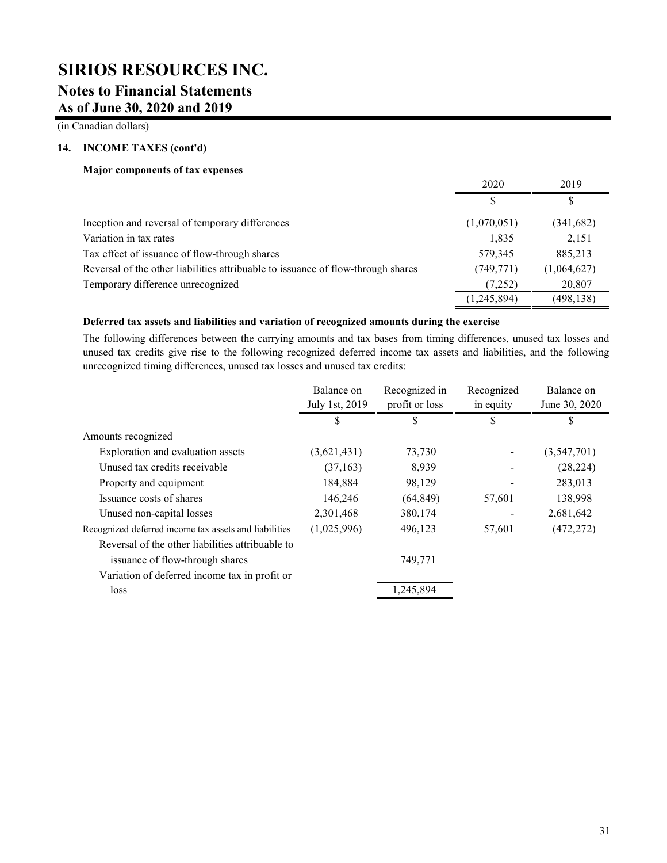(in Canadian dollars)

## **14. INCOME TAXES (cont'd)**

## **Major components of tax expenses**

|                                                                                  | 2020        | 2019        |
|----------------------------------------------------------------------------------|-------------|-------------|
|                                                                                  | S           | \$          |
| Inception and reversal of temporary differences                                  | (1,070,051) | (341, 682)  |
| Variation in tax rates                                                           | 1,835       | 2,151       |
| Tax effect of issuance of flow-through shares                                    | 579,345     | 885,213     |
| Reversal of the other liabilities attribuable to issuance of flow-through shares | (749, 771)  | (1,064,627) |
| Temporary difference unrecognized                                                | (7,252)     | 20,807      |
|                                                                                  | (1,245,894) | (498, 138)  |

## **Deferred tax assets and liabilities and variation of recognized amounts during the exercise**

The following differences between the carrying amounts and tax bases from timing differences, unused tax losses and unused tax credits give rise to the following recognized deferred income tax assets and liabilities, and the following unrecognized timing differences, unused tax losses and unused tax credits:

|                                                       | Balance on     | Recognized in  | Recognized | Balance on    |
|-------------------------------------------------------|----------------|----------------|------------|---------------|
|                                                       | July 1st, 2019 | profit or loss | in equity  | June 30, 2020 |
|                                                       | \$             | \$             | \$         | S             |
| Amounts recognized                                    |                |                |            |               |
| Exploration and evaluation assets                     | (3,621,431)    | 73,730         |            | (3,547,701)   |
| Unused tax credits receivable                         | (37, 163)      | 8,939          |            | (28, 224)     |
| Property and equipment                                | 184,884        | 98,129         |            | 283,013       |
| Issuance costs of shares                              | 146,246        | (64, 849)      | 57,601     | 138,998       |
| Unused non-capital losses                             | 2,301,468      | 380,174        |            | 2,681,642     |
| Recognized deferred income tax assets and liabilities | (1,025,996)    | 496,123        | 57,601     | (472, 272)    |
| Reversal of the other liabilities attribuable to      |                |                |            |               |
| issuance of flow-through shares                       |                | 749,771        |            |               |
| Variation of deferred income tax in profit or         |                |                |            |               |
| loss                                                  |                | 1,245,894      |            |               |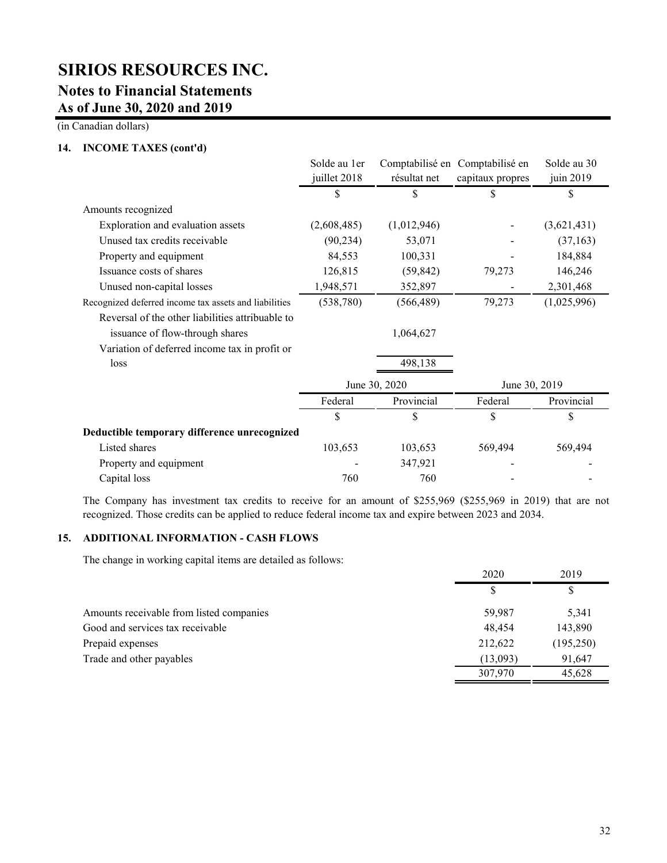# **SIRIOS RESOURCES INC. Notes to Financial Statements**

## **As of June 30, 2020 and 2019**

(in Canadian dollars)

## **14. INCOME TAXES (cont'd)**

|                                                       | Solde au 1er  |              | Comptabilisé en Comptabilisé en | Solde au 30 |
|-------------------------------------------------------|---------------|--------------|---------------------------------|-------------|
|                                                       | juillet 2018  | résultat net | capitaux propres                | juin 2019   |
|                                                       | \$            | \$           | \$                              | \$          |
| Amounts recognized                                    |               |              |                                 |             |
| Exploration and evaluation assets                     | (2,608,485)   | (1,012,946)  |                                 | (3,621,431) |
| Unused tax credits receivable                         | (90, 234)     | 53,071       |                                 | (37, 163)   |
| Property and equipment                                | 84,553        | 100,331      |                                 | 184,884     |
| Issuance costs of shares                              | 126,815       | (59, 842)    | 79,273                          | 146,246     |
| Unused non-capital losses                             | 1,948,571     | 352,897      |                                 | 2,301,468   |
| Recognized deferred income tax assets and liabilities | (538, 780)    | (566, 489)   | 79,273                          | (1,025,996) |
| Reversal of the other liabilities attribuable to      |               |              |                                 |             |
| issuance of flow-through shares                       |               | 1,064,627    |                                 |             |
| Variation of deferred income tax in profit or         |               |              |                                 |             |
| loss                                                  |               | 498,138      |                                 |             |
|                                                       | June 30, 2020 |              | June 30, 2019                   |             |
|                                                       | Federal       | Provincial   | Federal                         | Provincial  |
|                                                       | \$            | \$           | \$                              | \$          |
| Deductible temporary difference unrecognized          |               |              |                                 |             |
| Listed shares                                         | 103,653       | 103,653      | 569,494                         | 569,494     |
| Property and equipment                                |               | 347,921      |                                 |             |
| Capital loss                                          | 760           | 760          |                                 |             |

The Company has investment tax credits to receive for an amount of \$255,969 (\$255,969 in 2019) that are not recognized. Those credits can be applied to reduce federal income tax and expire between 2023 and 2034.

## **15. ADDITIONAL INFORMATION - CASH FLOWS**

The change in working capital items are detailed as follows:

|                                          | 2020     | 2019       |
|------------------------------------------|----------|------------|
|                                          | S        | \$         |
| Amounts receivable from listed companies | 59.987   | 5,341      |
| Good and services tax receivable         | 48.454   | 143,890    |
| Prepaid expenses                         | 212,622  | (195, 250) |
| Trade and other payables                 | (13,093) | 91,647     |
|                                          | 307,970  | 45,628     |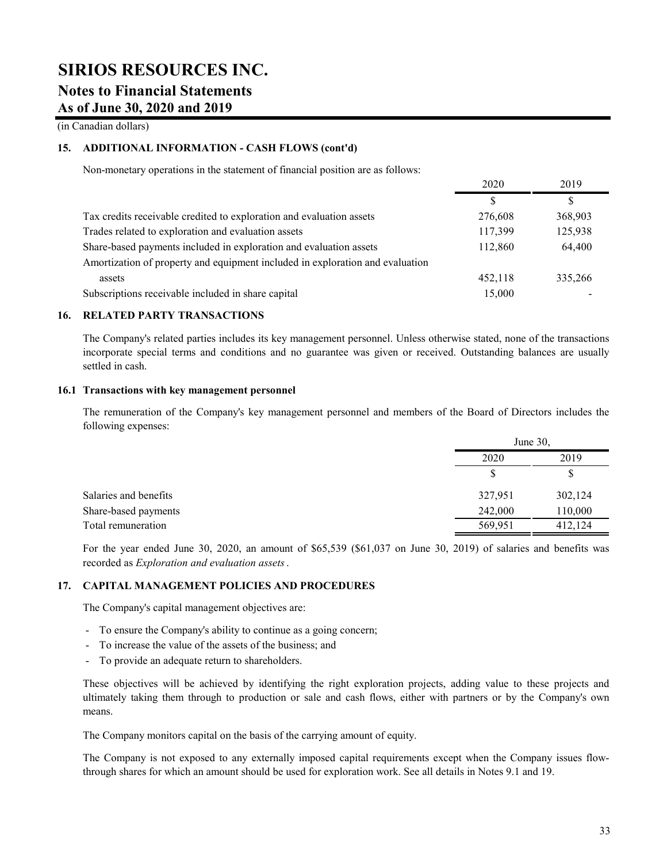(in Canadian dollars)

## **15. ADDITIONAL INFORMATION - CASH FLOWS (cont'd)**

Non-monetary operations in the statement of financial position are as follows:

|                                                                               | 2020    | 2019    |
|-------------------------------------------------------------------------------|---------|---------|
|                                                                               | S       | \$      |
| Tax credits receivable credited to exploration and evaluation assets          | 276,608 | 368,903 |
| Trades related to exploration and evaluation assets                           | 117,399 | 125,938 |
| Share-based payments included in exploration and evaluation assets            | 112,860 | 64,400  |
| Amortization of property and equipment included in exploration and evaluation |         |         |
| assets                                                                        | 452,118 | 335,266 |
| Subscriptions receivable included in share capital                            | 15,000  |         |

## **16. RELATED PARTY TRANSACTIONS**

The Company's related parties includes its key management personnel. Unless otherwise stated, none of the transactions incorporate special terms and conditions and no guarantee was given or received. Outstanding balances are usually settled in cash.

## **16.1 Transactions with key management personnel**

The remuneration of the Company's key management personnel and members of the Board of Directors includes the following expenses:

|                       |         | June 30, |  |
|-----------------------|---------|----------|--|
|                       | 2020    | 2019     |  |
|                       |         |          |  |
| Salaries and benefits | 327,951 | 302,124  |  |
| Share-based payments  | 242,000 | 110,000  |  |
| Total remuneration    | 569,951 | 412,124  |  |

For the year ended June 30, 2020, an amount of \$65,539 (\$61,037 on June 30, 2019) of salaries and benefits was recorded as *Exploration and evaluation assets*.

## **17. CAPITAL MANAGEMENT POLICIES AND PROCEDURES**

The Company's capital management objectives are:

- To ensure the Company's ability to continue as a going concern;
- To increase the value of the assets of the business; and
- To provide an adequate return to shareholders.

These objectives will be achieved by identifying the right exploration projects, adding value to these projects and ultimately taking them through to production or sale and cash flows, either with partners or by the Company's own means.

The Company monitors capital on the basis of the carrying amount of equity.

The Company is not exposed to any externally imposed capital requirements except when the Company issues flowthrough shares for which an amount should be used for exploration work. See all details in Notes 9.1 and 19.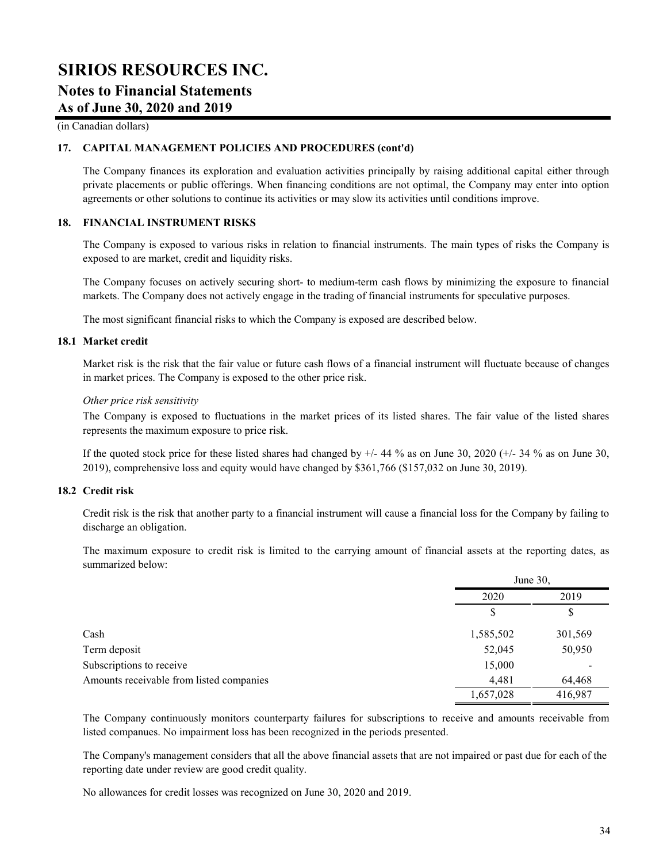(in Canadian dollars)

## **17. CAPITAL MANAGEMENT POLICIES AND PROCEDURES (cont'd)**

The Company finances its exploration and evaluation activities principally by raising additional capital either through private placements or public offerings. When financing conditions are not optimal, the Company may enter into option agreements or other solutions to continue its activities or may slow its activities until conditions improve.

## **18. FINANCIAL INSTRUMENT RISKS**

The Company is exposed to various risks in relation to financial instruments. The main types of risks the Company is exposed to are market, credit and liquidity risks.

The Company focuses on actively securing short- to medium-term cash flows by minimizing the exposure to financial markets. The Company does not actively engage in the trading of financial instruments for speculative purposes.

The most significant financial risks to which the Company is exposed are described below.

## **18.1 Market credit**

Market risk is the risk that the fair value or future cash flows of a financial instrument will fluctuate because of changes in market prices. The Company is exposed to the other price risk.

#### *Other price risk sensitivity*

The Company is exposed to fluctuations in the market prices of its listed shares. The fair value of the listed shares represents the maximum exposure to price risk.

If the quoted stock price for these listed shares had changed by  $+/-$  44 % as on June 30, 2020  $(+/-$  34 % as on June 30, 2019), comprehensive loss and equity would have changed by \$361,766 (\$157,032 on June 30, 2019).

## **18.2 Credit risk**

Credit risk is the risk that another party to a financial instrument will cause a financial loss for the Company by failing to discharge an obligation.

The maximum exposure to credit risk is limited to the carrying amount of financial assets at the reporting dates, as summarized below:

|                                          |           | June 30, |  |
|------------------------------------------|-----------|----------|--|
|                                          | 2020      | 2019     |  |
|                                          | S         | S        |  |
| Cash                                     | 1,585,502 | 301,569  |  |
| Term deposit                             | 52,045    | 50,950   |  |
| Subscriptions to receive                 | 15,000    |          |  |
| Amounts receivable from listed companies | 4,481     | 64,468   |  |
|                                          | 1,657,028 | 416,987  |  |

The Company continuously monitors counterparty failures for subscriptions to receive and amounts receivable from listed companues. No impairment loss has been recognized in the periods presented.

The Company's management considers that all the above financial assets that are not impaired or past due for each of the reporting date under review are good credit quality.

No allowances for credit losses was recognized on June 30, 2020 and 2019.